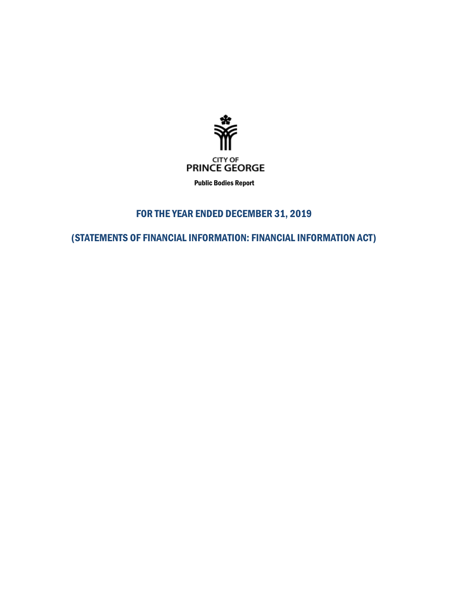

Public Bodies Report

# FOR THE YEAR ENDED DECEMBER 31, 2019

(STATEMENTS OF FINANCIAL INFORMATION: FINANCIAL INFORMATION ACT)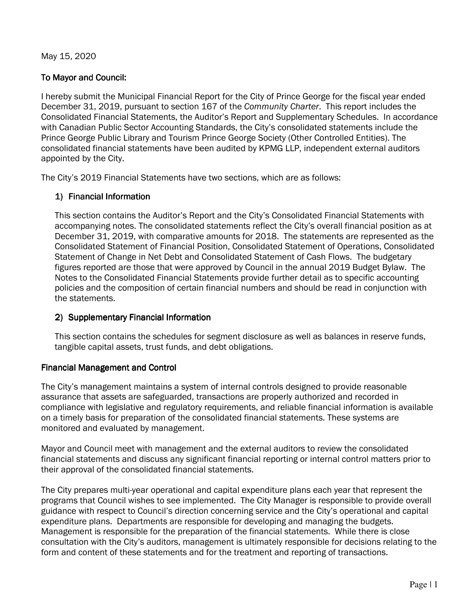May 15, 2020

## To Mayor and Council:

I hereby submit the Municipal Financial Report for the City of Prince George for the fiscal year ended December 31, 2019, pursuant to section 167 of the *Community Charter*. This report includes the Consolidated Financial Statements, the Auditor's Report and Supplementary Schedules. In accordance with Canadian Public Sector Accounting Standards, the City's consolidated statements include the Prince George Public Library and Tourism Prince George Society (Other Controlled Entities). The consolidated financial statements have been audited by KPMG LLP, independent external auditors appointed by the City.

The City's 2019 Financial Statements have two sections, which are as follows:

# 1) Financial Information

This section contains the Auditor's Report and the City's Consolidated Financial Statements with accompanying notes. The consolidated statements reflect the City's overall financial position as at December 31, 2019, with comparative amounts for 2018. The statements are represented as the Consolidated Statement of Financial Position, Consolidated Statement of Operations, Consolidated Statement of Change in Net Debt and Consolidated Statement of Cash Flows. The budgetary figures reported are those that were approved by Council in the annual 2019 Budget Bylaw. The Notes to the Consolidated Financial Statements provide further detail as to specific accounting policies and the composition of certain financial numbers and should be read in conjunction with the statements.

## 2) Supplementary Financial Information

This section contains the schedules for segment disclosure as well as balances in reserve funds, tangible capital assets, trust funds, and debt obligations.

## Financial Management and Control

The City's management maintains a system of internal controls designed to provide reasonable assurance that assets are safeguarded, transactions are properly authorized and recorded in compliance with legislative and regulatory requirements, and reliable financial information is available on a timely basis for preparation of the consolidated financial statements. These systems are monitored and evaluated by management.

Mayor and Council meet with management and the external auditors to review the consolidated financial statements and discuss any significant financial reporting or internal control matters prior to their approval of the consolidated financial statements.

The City prepares multi-year operational and capital expenditure plans each year that represent the programs that Council wishes to see implemented. The City Manager is responsible to provide overall guidance with respect to Council's direction concerning service and the City's operational and capital expenditure plans. Departments are responsible for developing and managing the budgets. Management is responsible for the preparation of the financial statements. While there is close consultation with the City's auditors, management is ultimately responsible for decisions relating to the form and content of these statements and for the treatment and reporting of transactions.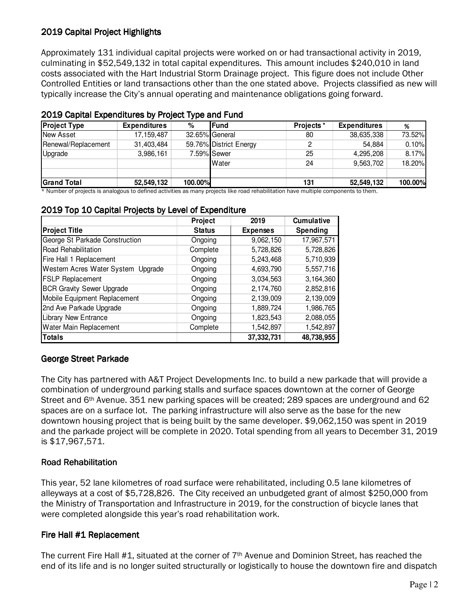# 2019 Capital Project Highlights

Approximately 131 individual capital projects were worked on or had transactional activity in 2019, culminating in \$52,549,132 in total capital expenditures. This amount includes \$240,010 in land costs associated with the Hart Industrial Storm Drainage project. This figure does not include Other Controlled Entities or land transactions other than the one stated above. Projects classified as new will typically increase the City's annual operating and maintenance obligations going forward.

|                     |                     | . .     |                        |                   |                     |         |
|---------------------|---------------------|---------|------------------------|-------------------|---------------------|---------|
| <b>Project Type</b> | <b>Expenditures</b> | %       | <b>IFund</b>           | <b>Projects</b> * | <b>Expenditures</b> | %       |
| New Asset           | 17.159.487          |         | 32.65% General         | 80                | 38,635,338          | 73.52%  |
| Renewal/Replacement | 31,403,484          |         | 59.76% District Energy | 2                 | 54.884              | 0.10%   |
| Upgrade             | 3,986,161           |         | 7.59% Sewer            | 25                | 4,295,208           | 8.17%   |
|                     |                     |         | Water                  | 24                | 9.563.702           | 18.20%  |
|                     |                     |         |                        |                   | 52,549,132          | 100.00% |
| <b>Grand Total</b>  | 52,549,132          | 100.00% |                        | 131               |                     |         |

### 2019 Capital Expenditures by Project Type and Fund

\* Number of projects is analogous to defined activities as many projects like road rehabilitation have multiple components to them.

### 2019 Top 10 Capital Projects by Level of Expenditure

|                                    | Project       | 2019            | <b>Cumulative</b> |
|------------------------------------|---------------|-----------------|-------------------|
| <b>Project Title</b>               | <b>Status</b> | <b>Expenses</b> | Spending          |
| George St Parkade Construction     | Ongoing       | 9,062,150       | 17,967,571        |
| Road Rehabilitation                | Complete      | 5,728,826       | 5,728,826         |
| Fire Hall 1 Replacement            | Ongoing       | 5,243,468       | 5,710,939         |
| Western Acres Water System Upgrade | Ongoing       | 4,693,790       | 5,557,716         |
| <b>FSLP Replacement</b>            | Ongoing       | 3,034,563       | 3,164,360         |
| <b>BCR Gravity Sewer Upgrade</b>   | Ongoing       | 2,174,760       | 2,852,816         |
| Mobile Equipment Replacement       | Ongoing       | 2,139,009       | 2,139,009         |
| 2nd Ave Parkade Upgrade            | Ongoing       | 1,889,724       | 1,986,765         |
| <b>Library New Entrance</b>        | Ongoing       | 1,823,543       | 2,088,055         |
| Water Main Replacement             | Complete      | 1,542,897       | 1,542,897         |
| <b>Totals</b>                      |               | 37,332,731      | 48,738,955        |

## George Street Parkade

The City has partnered with A&T Project Developments Inc. to build a new parkade that will provide a combination of underground parking stalls and surface spaces downtown at the corner of George Street and 6<sup>th</sup> Avenue. 351 new parking spaces will be created; 289 spaces are underground and 62 spaces are on a surface lot. The parking infrastructure will also serve as the base for the new downtown housing project that is being built by the same developer. \$9,062,150 was spent in 2019 and the parkade project will be complete in 2020. Total spending from all years to December 31, 2019 is \$17,967,571.

 $\parallel$ 

## Road Rehabilitation Road Rehabilitation

This year, 52 lane kilometres of road surface were rehabilitated, including 0.5 lane kilometres of alleyways at a cost of \$5,728,826. The City received an unbudgeted grant of almost \$250,000 from the Ministry of Transportation and Infrastructure in 2019, for the construction of bicycle lanes that were completed alongside this year's road rehabilitation work.

## Fire Hall #1 Replacement

The current Fire Hall #1, situated at the corner of  $7<sup>th</sup>$  Avenue and Dominion Street, has reached the end of its life and is no longer suited structurally or logistically to house the downtown fire and dispatch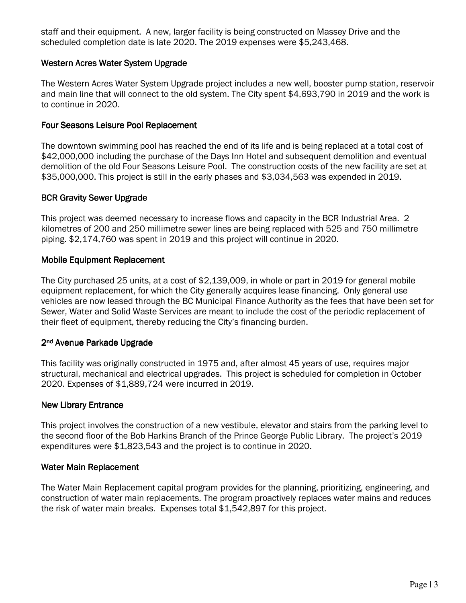staff and their equipment. A new, larger facility is being constructed on Massey Drive and the scheduled completion date is late 2020. The 2019 expenses were \$5,243,468.

## Western Acres Water System Upgrade

The Western Acres Water System Upgrade project includes a new well, booster pump station, reservoir and main line that will connect to the old system. The City spent \$4,693,790 in 2019 and the work is to continue in 2020.

## Four Seasons Leisure Pool Replacement

The downtown swimming pool has reached the end of its life and is being replaced at a total cost of \$42,000,000 including the purchase of the Days Inn Hotel and subsequent demolition and eventual demolition of the old Four Seasons Leisure Pool. The construction costs of the new facility are set at \$35,000,000. This project is still in the early phases and \$3,034,563 was expended in 2019.

## **BCR Gravity Sewer Upgrade**

This project was deemed necessary to increase flows and capacity in the BCR Industrial Area. 2 kilometres of 200 and 250 millimetre sewer lines are being replaced with 525 and 750 millimetre piping. \$2,174,760 was spent in 2019 and this project will continue in 2020.

### **Mobile Equipment Replacement**

The City purchased 25 units, at a cost of \$2,139,009, in whole or part in 2019 for general mobile equipment replacement, for which the City generally acquires lease financing. Only general use vehicles are now leased through the BC Municipal Finance Authority as the fees that have been set for Sewer, Water and Solid Waste Services are meant to include the cost of the periodic replacement of their fleet of equipment, thereby reducing the City's financing burden.

## 2<sup>nd</sup> Avenue Parkade Upgrade

This facility was originally constructed in 1975 and, after almost 45 years of use, requires major structural, mechanical and electrical upgrades. This project is scheduled for completion in October 2020. Expenses of \$1,889,724 were incurred in 2019.

### New Library Entrance

This project involves the construction of a new vestibule, elevator and stairs from the parking level to the second floor of the Bob Harkins Branch of the Prince George Public Library. The project's 2019 expenditures were \$1,823,543 and the project is to continue in 2020.

### Water Main Replacement

The Water Main Replacement capital program provides for the planning, prioritizing, engineering, and construction of water main replacements. The program proactively replaces water mains and reduces the risk of water main breaks. Expenses total \$1,542,897 for this project.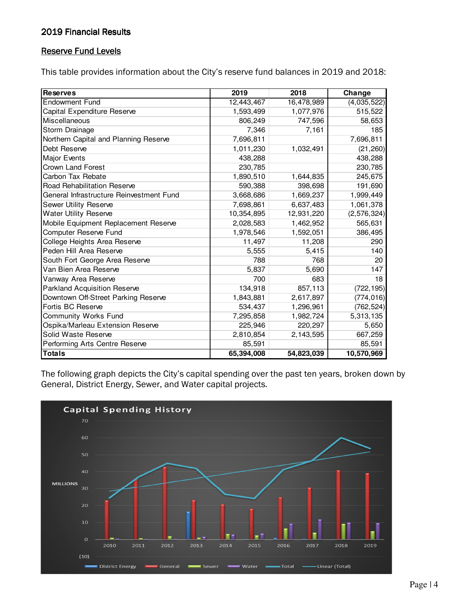## 2019 Financial Results

## Reserve Fund Levels

This table provides information about the City's reserve fund balances in 2019 and 2018:

| <b>Reserves</b>                          | 2019       | 2018       | Change        |
|------------------------------------------|------------|------------|---------------|
| <b>Endowment Fund</b>                    | 12,443,467 | 16,478,989 | (4,035,522)   |
| Capital Expenditure Reserve              | 1,593,499  | 1,077,976  | 515,522       |
| Miscellaneous                            | 806,249    | 747,596    | 58,653        |
| Storm Drainage                           | 7,346      | 7,161      | 185           |
| Northern Capital and Planning Reserve    | 7,696,811  |            | 7,696,811     |
| Debt Reserve                             | 1,011,230  | 1,032,491  | (21, 260)     |
| Major Events                             | 438,288    |            | 438,288       |
| <b>Crown Land Forest</b>                 | 230,785    |            | 230,785       |
| Carbon Tax Rebate                        | 1,890,510  | 1,644,835  | 245,675       |
| Road Rehabilitation Reserve              | 590,388    | 398,698    | 191,690       |
| General Infrastructure Reinvestment Fund | 3,668,686  | 1,669,237  | 1,999,449     |
| Sewer Utility Reserve                    | 7,698,861  | 6,637,483  | 1,061,378     |
| <b>Water Utility Reserve</b>             | 10,354,895 | 12,931,220 | (2, 576, 324) |
| Mobile Equipment Replacement Reserve     | 2,028,583  | 1,462,952  | 565,631       |
| Computer Reserve Fund                    | 1,978,546  | 1,592,051  | 386,495       |
| College Heights Area Reserve             | 11,497     | 11,208     | 290           |
| Peden Hill Area Reserve                  | 5,555      | 5,415      | 140           |
| South Fort George Area Reserve           | 788        | 768        | 20            |
| Van Bien Area Reserve                    | 5,837      | 5,690      | 147           |
| Vanway Area Reserve                      | 700        | 683        | 18            |
| <b>Parkland Acquisition Reserve</b>      | 134,918    | 857,113    | (722, 195)    |
| Downtown Off-Street Parking Reserve      | 1,843,881  | 2,617,897  | (774, 016)    |
| Fortis BC Reserve                        | 534,437    | 1,296,961  | (762, 524)    |
| Community Works Fund                     | 7,295,858  | 1,982,724  | 5,313,135     |
| Ospika/Marleau Extension Reserve         | 225,946    | 220,297    | 5,650         |
| Solid Waste Reserve                      | 2,810,854  | 2,143,595  | 667,259       |
| Performing Arts Centre Reserve           | 85,591     |            | 85,591        |
| <b>Totals</b>                            | 65,394,008 | 54,823,039 | 10,570,969    |

The following graph depicts the City's capital spending over the past ten years, broken down by General, District Energy, Sewer, and Water capital projects.

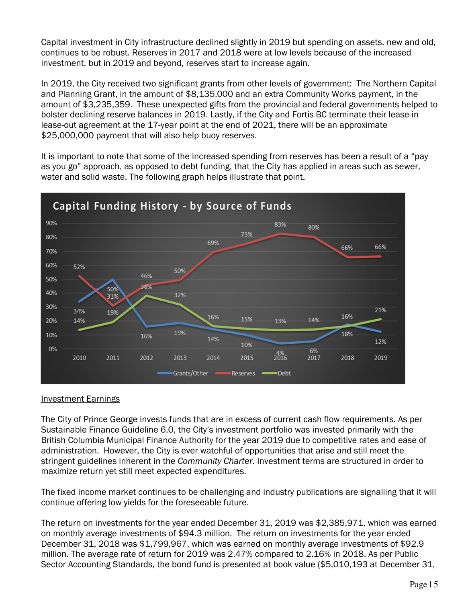Capital investment in City infrastructure declined slightly in 2019 but spending on assets, new and old, continues to be robust. Reserves in 2017 and 2018 were at low levels because of the increased investment, but in 2019 and beyond, reserves start to increase again.

In 2019, the City received two significant grants from other levels of government: The Northern Capital and Planning Grant, in the amount of \$8,135,000 and an extra Community Works payment, in the amount of \$3,235,359. These unexpected gifts from the provincial and federal governments helped to bolster declining reserve balances in 2019. Lastly, if the City and Fortis BC terminate their lease-in lease-out agreement at the 17-year point at the end of 2021, there will be an approximate \$25,000,000 payment that will also help buoy reserves.

It is important to note that some of the increased spending from reserves has been a result of a "pay as you go" approach, as opposed to debt funding, that the City has applied in areas such as sewer, water and solid waste. The following graph helps illustrate that point.



### Investment Earnings

The City of Prince George invests funds that are in excess of current cash flow requirements. As per Sustainable Finance Guideline 6.0, the City's investment portfolio was invested primarily with the British Columbia Municipal Finance Authority for the year 2019 due to competitive rates and ease of administration. However, the City is ever watchful of opportunities that arise and still meet the stringent guidelines inherent in the *Community Charter*. Investment terms are structured in order to maximize return yet still meet expected expenditures.

The fixed income market continues to be challenging and industry publications are signalling that it will continue offering low yields for the foreseeable future.

The return on investments for the year ended December 31, 2019 was \$2,385,971, which was earned on monthly average investments of \$94.3 million. The return on investments for the year ended December 31, 2018 was \$1,799,967, which was earned on monthly average investments of \$92.9 million. The average rate of return for 2019 was 2.47% compared to 2.16% in 2018. As per Public Sector Accounting Standards, the bond fund is presented at book value (\$5,010,193 at December 31,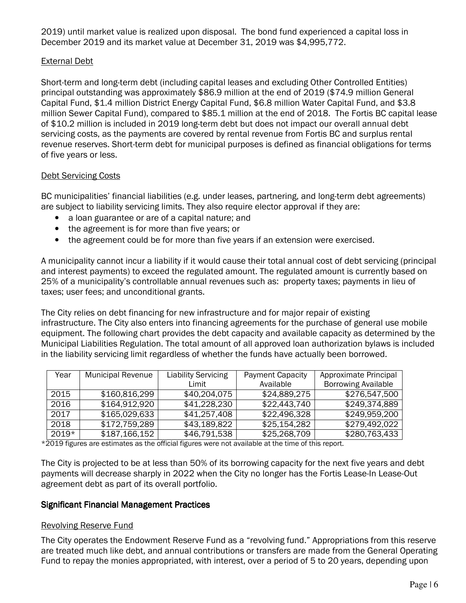2019) until market value is realized upon disposal. The bond fund experienced a capital loss in December 2019 and its market value at December 31, 2019 was \$4,995,772.

## External Debt

Short-term and long-term debt (including capital leases and excluding Other Controlled Entities) principal outstanding was approximately \$86.9 million at the end of 2019 (\$74.9 million General Capital Fund, \$1.4 million District Energy Capital Fund, \$6.8 million Water Capital Fund, and \$3.8 million Sewer Capital Fund), compared to \$85.1 million at the end of 2018. The Fortis BC capital lease of \$10.2 million is included in 2019 long-term debt but does not impact our overall annual debt servicing costs, as the payments are covered by rental revenue from Fortis BC and surplus rental revenue reserves. Short-term debt for municipal purposes is defined as financial obligations for terms of five years or less.

## Debt Servicing Costs

BC municipalities' financial liabilities (e.g. under leases, partnering, and long-term debt agreements) are subject to liability servicing limits. They also require elector approval if they are:

- a loan guarantee or are of a capital nature; and
- the agreement is for more than five years; or
- the agreement could be for more than five years if an extension were exercised.

A municipality cannot incur a liability if it would cause their total annual cost of debt servicing (principal and interest payments) to exceed the regulated amount. The regulated amount is currently based on 25% of a municipality's controllable annual revenues such as: property taxes; payments in lieu of taxes; user fees; and unconditional grants.

The City relies on debt financing for new infrastructure and for major repair of existing infrastructure. The City also enters into financing agreements for the purchase of general use mobile equipment. The following chart provides the debt capacity and available capacity as determined by the Municipal Liabilities Regulation. The total amount of all approved loan authorization bylaws is included in the liability servicing limit regardless of whether the funds have actually been borrowed.

| Year    | <b>Municipal Revenue</b> | <b>Liability Servicing</b> | <b>Payment Capacity</b> | Approximate Principal      |
|---------|--------------------------|----------------------------|-------------------------|----------------------------|
|         |                          | Limit                      | Available               | <b>Borrowing Available</b> |
| 2015    | \$160,816,299            | \$40,204,075               | \$24,889,275            | \$276,547,500              |
| 2016    | \$164,912,920            | \$41,228,230               | \$22,443,740            | \$249,374,889              |
| 2017    | \$165,029,633            | \$41,257,408               | \$22,496,328            | \$249,959,200              |
| 2018    | \$172,759,289            | \$43,189,822               | \$25,154,282            | \$279,492,022              |
| $2019*$ | \$187,166,152            | \$46,791,538               | \$25,268,709            | \$280,763,433              |

\*2019 figures are estimates as the official figures were not available at the time of this report.

The City is projected to be at less than 50% of its borrowing capacity for the next five years and debt payments will decrease sharply in 2022 when the City no longer has the Fortis Lease-In Lease-Out agreement debt as part of its overall portfolio.

## **Significant Financial Management Practices**

# Revolving Reserve Fund

The City operates the Endowment Reserve Fund as a "revolving fund." Appropriations from this reserve are treated much like debt, and annual contributions or transfers are made from the General Operating Fund to repay the monies appropriated, with interest, over a period of 5 to 20 years, depending upon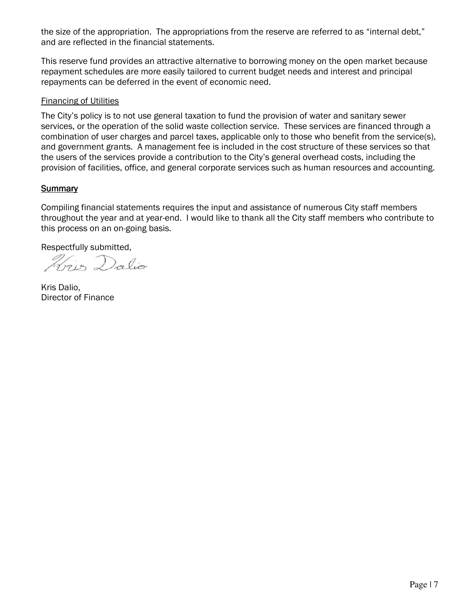the size of the appropriation. The appropriations from the reserve are referred to as "internal debt," and are reflected in the financial statements.

This reserve fund provides an attractive alternative to borrowing money on the open market because repayment schedules are more easily tailored to current budget needs and interest and principal repayments can be deferred in the event of economic need.

### Financing of Utilities

The City's policy is to not use general taxation to fund the provision of water and sanitary sewer services, or the operation of the solid waste collection service. These services are financed through a combination of user charges and parcel taxes, applicable only to those who benefit from the service(s), and government grants. A management fee is included in the cost structure of these services so that the users of the services provide a contribution to the City's general overhead costs, including the provision of facilities, office, and general corporate services such as human resources and accounting.

## **Summary**

Compiling financial statements requires the input and assistance of numerous City staff members throughout the year and at year-end. I would like to thank all the City staff members who contribute to this process on an on-going basis.

Respectfully submitted,

Hrip Dalio

Kris Dalio, Director of Finance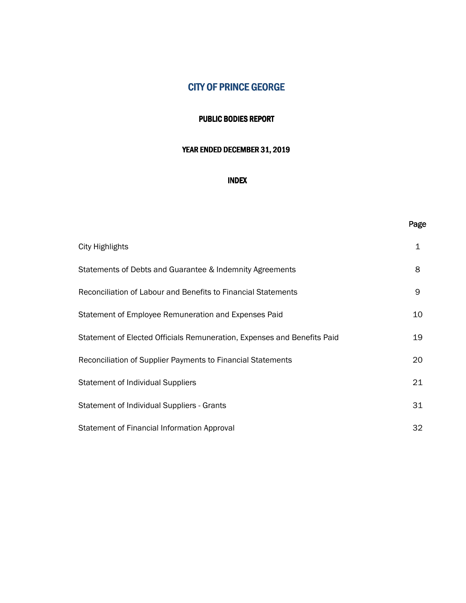### PUBLIC BODIES REPORT

### YEAR ENDED DECEMBER 31, 2019

### INDEX

### Page

| <b>City Highlights</b>                                                  | $\mathbf 1$ |
|-------------------------------------------------------------------------|-------------|
| Statements of Debts and Guarantee & Indemnity Agreements                | 8           |
| Reconciliation of Labour and Benefits to Financial Statements           | 9           |
| Statement of Employee Remuneration and Expenses Paid                    | 10          |
| Statement of Elected Officials Remuneration, Expenses and Benefits Paid | 19          |
| Reconciliation of Supplier Payments to Financial Statements             | 20          |
| <b>Statement of Individual Suppliers</b>                                | 21          |
| Statement of Individual Suppliers - Grants                              | 31          |
| Statement of Financial Information Approval                             | 32          |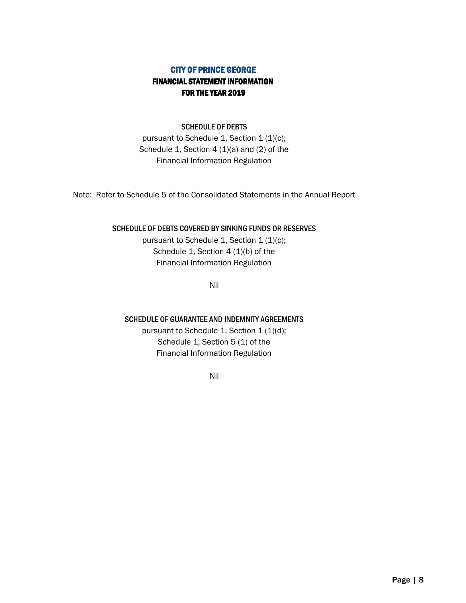# CITY OF PRINCE GEORGE FINANCIAL STATEMENT INFORMATION FOR THE YEAR 2019

### SCHEDULE OF DEBTS

pursuant to Schedule 1, Section 1 (1)(c); Schedule 1, Section 4 (1)(a) and (2) of the Financial Information Regulation

Note: Refer to Schedule 5 of the Consolidated Statements in the Annual Report

### SCHEDULE OF DEBTS COVERED BY SINKING FUNDS OR RESERVES

pursuant to Schedule 1, Section  $1 (1)(c)$ ; Schedule 1, Section 4 (1)(b) of the Financial Information Regulation

Nil

### SCHEDULE OF GUARANTEE AND INDEMNITY AGREEMENTS

pursuant to Schedule 1, Section 1 (1)(d); Schedule 1, Section 5 (1) of the Financial Information Regulation

Nil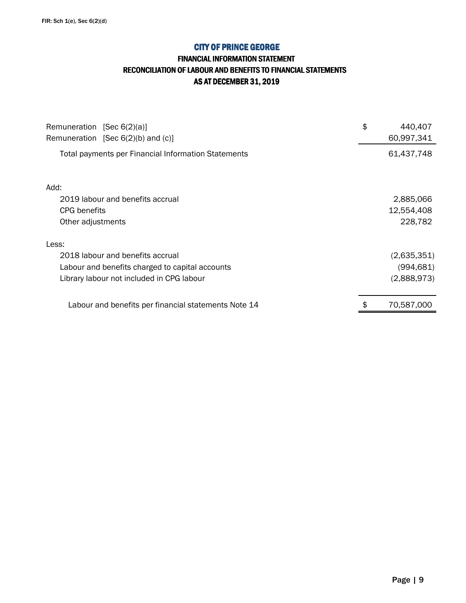## FINANCIAL INFORMATION STATEMENT RECONCILIATION OF LABOUR AND BENEFITS TO FINANCIAL STATEMENTS AS AT DECEMBER 31, 2019

| Remuneration [Sec 6(2)(a)]<br>Remuneration [Sec $6(2)(b)$ and $(c)$ ] | \$<br>440,407<br>60,997,341 |
|-----------------------------------------------------------------------|-----------------------------|
| Total payments per Financial Information Statements                   | 61,437,748                  |
| Add:                                                                  |                             |
| 2019 labour and benefits accrual                                      | 2,885,066                   |
| CPG benefits                                                          | 12,554,408                  |
| Other adjustments                                                     | 228,782                     |
| Less:                                                                 |                             |
| 2018 labour and benefits accrual                                      | (2,635,351)                 |
| Labour and benefits charged to capital accounts                       | (994,681)                   |
| Library labour not included in CPG labour                             | (2,888,973)                 |
| Labour and benefits per financial statements Note 14                  | 70,587,000                  |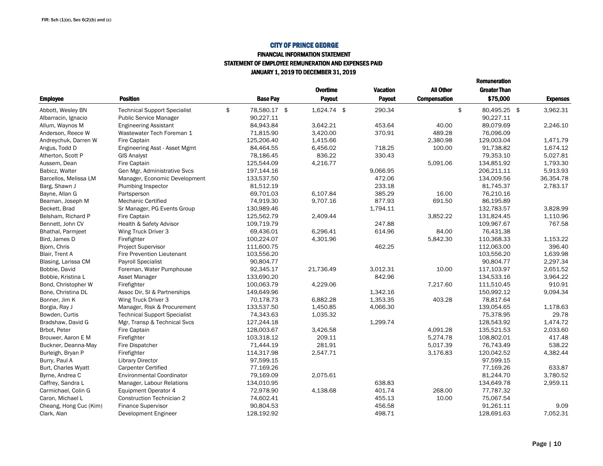#### FINANCIAL INFORMATION STATEMENT

#### STATEMENT OF EMPLOYEE REMUNERATION AND EXPENSES PAID

JANUARY 1, 2019 TO DECEMBER 31, 2019

|                        |                                     |                    | Overtime    | <b>Vacation</b> | All Other           | <b>Greater Than</b> |                 |
|------------------------|-------------------------------------|--------------------|-------------|-----------------|---------------------|---------------------|-----------------|
| <b>Employee</b>        | <b>Position</b>                     | <b>Base Pay</b>    | Payout      | Payout          | <b>Compensation</b> | \$75,000            | <b>Expenses</b> |
| Abbott, Wesley BN      | <b>Technical Support Specialist</b> | \$<br>78.580.17 \$ | 1,624.74 \$ | 290.34          |                     | \$<br>80,495.25 \$  | 3.962.31        |
| Albarracin, Ignacio    | <b>Public Service Manager</b>       | 90,227.11          |             |                 |                     | 90,227.11           |                 |
| Allum, Waynos M        | <b>Engineering Assistant</b>        | 84,943.84          | 3.642.21    | 453.64          | 40.00               | 89.079.69           | 2.246.10        |
| Anderson, Reece W      | Wastewater Tech Foreman 1           | 71,815.90          | 3,420.00    | 370.91          | 489.28              | 76,096.09           |                 |
| Andreychuk, Darren W   | Fire Captain                        | 125,206.40         | 1.415.66    |                 | 2,380.98            | 129,003.04          | 1.471.79        |
| Angus, Todd D          | Engineering Asst - Asset Mgmt       | 84,464.55          | 6,456.02    | 718.25          | 100.00              | 91,738.82           | 1,674.12        |
| Atherton, Scott P      | <b>GIS Analyst</b>                  | 78,186.45          | 836.22      | 330.43          |                     | 79,353.10           | 5,027.81        |
| Aussem, Dean           | Fire Captain                        | 125,544.09         | 4,216.77    |                 | 5,091.06            | 134,851.92          | 1,793.30        |
| Babicz, Walter         | Gen Mgr, Administrative Svcs        | 197,144.16         |             | 9,066.95        |                     | 206,211.11          | 5,913.93        |
| Barcellos, Melissa LM  | Manager, Economic Development       | 133,537.50         |             | 472.06          |                     | 134,009.56          | 36,354.78       |
| Barg, Shawn J          | Plumbing Inspector                  | 81,512.19          |             | 233.18          |                     | 81,745.37           | 2.783.17        |
| Bayne, Allan G         | Partsperson                         | 69,701.03          | 6,107.84    | 385.29          | 16.00               | 76,210.16           |                 |
| Beaman, Joseph M       | <b>Mechanic Certified</b>           | 74,919.30          | 9,707.16    | 877.93          | 691.50              | 86,195.89           |                 |
| Beckett, Brad          | Sr Manager, PG Events Group         | 130,989.46         |             | 1,794.11        |                     | 132,783.57          | 3,828.99        |
| Belsham, Richard P     | Fire Captain                        | 125,562.79         | 2.409.44    |                 | 3,852.22            | 131.824.45          | 1,110.96        |
| Bennett, John CV       | Health & Safety Advisor             | 109,719.79         |             | 247.88          |                     | 109,967.67          | 767.58          |
| Bhathal, Parmieet      | Wing Truck Driver 3                 | 69,436.01          | 6.296.41    | 614.96          | 84.00               | 76,431.38           |                 |
| Bird, James D          | Firefighter                         | 100,224.07         | 4,301.96    |                 | 5,842.30            | 110,368.33          | 1,153.22        |
| Bjorn, Chris           | <b>Project Supervisor</b>           | 111,600.75         |             | 462.25          |                     | 112,063.00          | 396.40          |
| Blair, Trent A         | <b>Fire Prevention Lieutenant</b>   | 103,556.20         |             |                 |                     | 103,556.20          | 1,639.98        |
| Blasing, Larissa CM    | <b>Payroll Specialist</b>           | 90,804.77          |             |                 |                     | 90.804.77           | 2,297.34        |
| Bobbie, David          | Foreman, Water Pumphouse            | 92,345.17          | 21,736.49   | 3,012.31        | 10.00               | 117,103.97          | 2,651.52        |
| Bobbie, Kristina L     | Asset Manager                       | 133,690.20         |             | 842.96          |                     | 134,533.16          | 3,964.22        |
| Bond, Christopher W    | Firefighter                         | 100,063.79         | 4,229.06    |                 | 7,217.60            | 111,510.45          | 910.91          |
| Bone, Christina DL     | Assoc Dir, SI & Partnerships        | 149,649.96         |             | 1,342.16        |                     | 150,992.12          | 9,094.34        |
| Bonner, Jim K          | Wing Truck Driver 3                 | 70,178.73          | 6,882.28    | 1,353.35        | 403.28              | 78,817.64           |                 |
| Borgia, Ray J          | Manager, Risk & Procurement         | 133,537.50         | 1,450.85    | 4,066.30        |                     | 139,054.65          | 1,178.63        |
| Bowden, Curtis         | <b>Technical Support Specialist</b> | 74,343.63          | 1,035.32    |                 |                     | 75.378.95           | 29.78           |
| Bradshaw, David G      | Mgr, Transp & Technical Svcs        | 127,244.18         |             | 1,299.74        |                     | 128,543.92          | 1,474.72        |
| Brbot, Peter           | Fire Captain                        | 128,003.67         | 3.426.58    |                 | 4.091.28            | 135,521.53          | 2,033.60        |
| Brouwer, Aaron E M     | Firefighter                         | 103,318.12         | 209.11      |                 | 5,274.78            | 108,802.01          | 417.48          |
| Buckner, Deanna-May    | Fire Dispatcher                     | 71,444.19          | 281.91      |                 | 5,017.39            | 76,743.49           | 538.22          |
| Burleigh, Bryan P      | Firefighter                         | 114,317.98         | 2,547.71    |                 | 3,176.83            | 120,042.52          | 4,382.44        |
| Burry, Paul A          | <b>Library Director</b>             | 97,599.15          |             |                 |                     | 97,599.15           |                 |
| Burt, Charles Wyatt    | <b>Carpenter Certified</b>          | 77,169.26          |             |                 |                     | 77,169.26           | 633.87          |
| Byrne, Andrea C        | <b>Environmental Coordinator</b>    | 79,169.09          | 2,075.61    |                 |                     | 81,244.70           | 3,780.52        |
| Caffrey, Sandra L      | Manager, Labour Relations           | 134,010.95         |             | 638.83          |                     | 134,649.78          | 2,959.11        |
| Carmichael, Colin G    | Equipment Operator 4                | 72,978.90          | 4,138.68    | 401.74          | 268.00              | 77,787.32           |                 |
| Caron, Michael L       | <b>Construction Technician 2</b>    | 74,602.41          |             | 455.13          | 10.00               | 75,067.54           |                 |
| Cheang, Hong Cuc (Kim) | <b>Finance Supervisor</b>           | 90,804.53          |             | 456.58          |                     | 91,261.11           | 9.09            |
| Clark, Alan            | Development Engineer                | 128,192.92         |             | 498.71          |                     | 128,691.63          | 7,052.31        |

Remuneration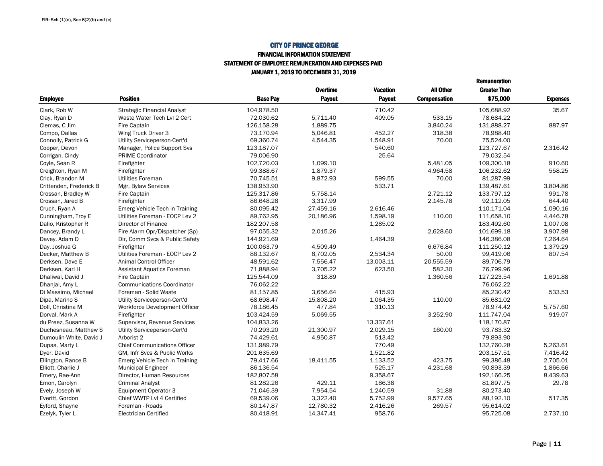#### FINANCIAL INFORMATION STATEMENT STATEMENT OF EMPLOYEE REMUNERATION AND EXPENSES PAIDJANUARY 1, 2019 TO DECEMBER 31, 2019

|                         |                                     |                 | <b>Overtime</b> | Vacation      | All Other           | <b>Greater Than</b> |                 |
|-------------------------|-------------------------------------|-----------------|-----------------|---------------|---------------------|---------------------|-----------------|
| <b>Employee</b>         | <b>Position</b>                     | <b>Base Pay</b> | Payout          | <b>Payout</b> | <b>Compensation</b> | \$75,000            | <b>Expenses</b> |
| Clark, Rob W            | <b>Strategic Financial Analyst</b>  | 104,978.50      |                 | 710.42        |                     | 105.688.92          | 35.67           |
| Clay, Ryan D            | Waste Water Tech Lvl 2 Cert         | 72,030.62       | 5,711.40        | 409.05        | 533.15              | 78,684.22           |                 |
| Clemas, C Jim           | <b>Fire Captain</b>                 | 126.158.28      | 1,889.75        |               | 3,840.24            | 131.888.27          | 887.97          |
| Compo, Dallas           | Wing Truck Driver 3                 | 73,170.94       | 5,046.81        | 452.27        | 318.38              | 78,988.40           |                 |
| Connolly, Patrick G     | Utility Serviceperson-Cert'd        | 69,360.74       | 4,544.35        | 1,548.91      | 70.00               | 75,524.00           |                 |
| Cooper, Devon           | Manager, Police Support Svs         | 123,187.07      |                 | 540.60        |                     | 123,727.67          | 2,316.42        |
| Corrigan, Cindy         | <b>PRIME Coordinator</b>            | 79,006.90       |                 | 25.64         |                     | 79,032.54           |                 |
| Coyle, Sean R           | Firefighter                         | 102,720.03      | 1,099.10        |               | 5,481.05            | 109,300.18          | 910.60          |
| Creighton, Ryan M       | Firefighter                         | 99,388.67       | 1,879.37        |               | 4,964.58            | 106,232.62          | 558.25          |
| Crick, Brandon M        | Utilities Foreman                   | 70,745.51       | 9,872.93        | 599.55        | 70.00               | 81,287.99           |                 |
| Crittenden, Frederick B | Mgr, Bylaw Services                 | 138,953.90      |                 | 533.71        |                     | 139,487.61          | 3,804.86        |
| Crossan, Bradley W      | Fire Captain                        | 125,317.86      | 5,758.14        |               | 2,721.12            | 133,797.12          | 991.78          |
| Crossan, Jared B        | Firefighter                         | 86,648.28       | 3,317.99        |               | 2,145.78            | 92,112.05           | 644.40          |
| Cruch, Ryan A           | Emerg Vehicle Tech in Training      | 80,095.42       | 27,459.16       | 2,616.46      |                     | 110,171.04          | 1,090.16        |
| Cunningham, Troy E      | Utilities Foreman - EOCP Lev 2      | 89,762.95       | 20,186.96       | 1,598.19      | 110.00              | 111,658.10          | 4,446.78        |
| Dalio, Kristopher R     | Director of Finance                 | 182,207.58      |                 | 1,285.02      |                     | 183,492.60          | 1,007.08        |
| Dancey, Brandy L        | Fire Alarm Opr/Dispatcher (Sp)      | 97,055.32       | 2,015.26        |               | 2,628.60            | 101,699.18          | 3,907.98        |
| Davey, Adam D           | Dir, Comm Svcs & Public Safety      | 144,921.69      |                 | 1,464.39      |                     | 146,386.08          | 7,264.64        |
| Day, Joshua G           | Firefighter                         | 100,063.79      | 4,509.49        |               | 6,676.84            | 111,250.12          | 1,379.29        |
| Decker, Matthew B       | Utilities Foreman - EOCP Lev 2      | 88,132.67       | 8,702.05        | 2,534.34      | 50.00               | 99,419.06           | 807.54          |
| Derksen, Dave E         | <b>Animal Control Officer</b>       | 48,591.62       | 7,556.47        | 13,003.11     | 20,555.59           | 89,706.79           |                 |
| Derksen, Karl H         | Assistant Aquatics Foreman          | 71,888.94       | 3,705.22        | 623.50        | 582.30              | 76,799.96           |                 |
| Dhaliwal, David J       | Fire Captain                        | 125,544.09      | 318.89          |               | 1,360.56            | 127,223.54          | 1.691.88        |
| Dhanjal, Amy L          | <b>Communications Coordinator</b>   | 76,062.22       |                 |               |                     | 76,062.22           |                 |
| Di Massimo, Michael     | Foreman - Solid Waste               | 81,157.85       | 3.656.64        | 415.93        |                     | 85.230.42           | 533.53          |
| Dipa, Marino S          | Utility Serviceperson-Cert'd        | 68,698.47       | 15,808.20       | 1,064.35      | 110.00              | 85,681.02           |                 |
| Doll, Christina M       | Workforce Development Officer       | 78,186.45       | 477.84          | 310.13        |                     | 78,974.42           | 5,757.60        |
| Dorval, Mark A          | Firefighter                         | 103,424.59      | 5.069.55        |               | 3,252.90            | 111,747.04          | 919.07          |
| du Preez, Susanna W     | Supervisor, Revenue Services        | 104,833.26      |                 | 13,337.61     |                     | 118,170.87          |                 |
| Duchesneau, Matthew S   | Utility Serviceperson-Cert'd        | 70.293.20       | 21.300.97       | 2.029.15      | 160.00              | 93.783.32           |                 |
| Dumoulin-White, David J | Arborist 2                          | 74,429.61       | 4,950.87        | 513.42        |                     | 79,893.90           |                 |
| Dupas, Marty L          | <b>Chief Communications Officer</b> | 131,989.79      |                 | 770.49        |                     | 132,760.28          | 5,263.61        |
| Dyer, David             | GM, Infr Svcs & Public Works        | 201,635.69      |                 | 1,521.82      |                     | 203,157.51          | 7,416.42        |
| Ellington, Rance B      | Emerg Vehicle Tech in Training      | 79,417.66       | 18,411.55       | 1,133.52      | 423.75              | 99,386.48           | 2,705.01        |
| Elliott, Charlie J      | <b>Municipal Engineer</b>           | 86,136.54       |                 | 525.17        | 4,231.68            | 90,893.39           | 1,866.66        |
| Emery, Rae-Ann          | Director, Human Resources           | 182,807.58      |                 | 9,358.67      |                     | 192,166.25          | 8,439.63        |
| Emon, Carolyn           | <b>Criminal Analyst</b>             | 81,282.26       | 429.11          | 186.38        |                     | 81,897.75           | 29.78           |
| Evely, Joseph W         | <b>Equipment Operator 3</b>         | 71,046.39       | 7,954.54        | 1,240.59      | 31.88               | 80,273.40           |                 |
| Everitt, Gordon         | Chief WWTP Lvl 4 Certified          | 69,539.06       | 3,322.40        | 5,752.99      | 9,577.65            | 88,192.10           | 517.35          |
| Eyford, Shayne          | Foreman - Roads                     | 80,147.87       | 12,780.32       | 2,416.26      | 269.57              | 95,614.02           |                 |
| Ezelyk, Tyler L         | <b>Electrician Certified</b>        | 80,418.91       | 14,347.41       | 958.76        |                     | 95,725.08           | 2,737.10        |
|                         |                                     |                 |                 |               |                     |                     |                 |

Remuneration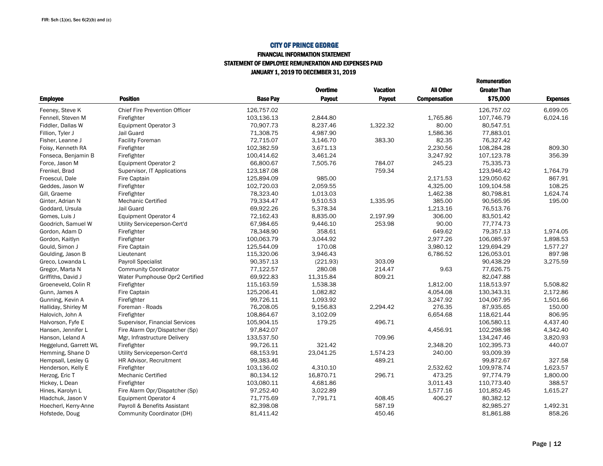#### FINANCIAL INFORMATION STATEMENTSTATEMENT OF EMPLOYEE REMUNERATION AND EXPENSES PAID

JANUARY 1, 2019 TO DECEMBER 31, 2019

|                       |                                      |                 |                 |                 |                     | <b>Remuneration</b> |                 |
|-----------------------|--------------------------------------|-----------------|-----------------|-----------------|---------------------|---------------------|-----------------|
|                       |                                      |                 | <b>Overtime</b> | <b>Vacation</b> | <b>All Other</b>    | <b>Greater Than</b> |                 |
| <b>Employee</b>       | <b>Position</b>                      | <b>Base Pav</b> | <b>Payout</b>   | <b>Pavout</b>   | <b>Compensation</b> | \$75,000            | <b>Expenses</b> |
| Feeney, Steve K       | <b>Chief Fire Prevention Officer</b> | 126,757.02      |                 |                 |                     | 126,757.02          | 6,699.05        |
| Fennell, Steven M     | Firefighter                          | 103,136.13      | 2.844.80        |                 | 1.765.86            | 107,746.79          | 6.024.16        |
| Fiddler, Dallas W     | <b>Equipment Operator 3</b>          | 70.907.73       | 8.237.46        | 1.322.32        | 80.00               | 80.547.51           |                 |
| Fillion, Tyler J      | Jail Guard                           | 71,308.75       | 4,987.90        |                 | 1,586.36            | 77,883.01           |                 |
| Fisher, Leanne J      | <b>Facility Foreman</b>              | 72,715.07       | 3,146.70        | 383.30          | 82.35               | 76.327.42           |                 |
| Foisy, Kenneth RA     | Firefighter                          | 102,382.59      | 3,671.13        |                 | 2,230.56            | 108,284.28          | 809.30          |
| Fonseca, Benjamin B   | Firefighter                          | 100,414.62      | 3,461.24        |                 | 3,247.92            | 107,123.78          | 356.39          |
| Force, Jason M        | Equipment Operator 2                 | 66,800.67       | 7.505.76        | 784.07          | 245.23              | 75,335.73           |                 |
| Frenkel, Brad         | Supervisor, IT Applications          | 123,187.08      |                 | 759.34          |                     | 123,946.42          | 1,764.79        |
| Froescul, Dale        | Fire Captain                         | 125,894.09      | 985.00          |                 | 2,171.53            | 129,050.62          | 867.91          |
| Geddes, Jason W       | Firefighter                          | 102,720.03      | 2,059.55        |                 | 4,325.00            | 109,104.58          | 108.25          |
| Gill, Graeme          | Firefighter                          | 78,323.40       | 1,013.03        |                 | 1,462.38            | 80.798.81           | 1,624.74        |
| Ginter, Adrian N      | <b>Mechanic Certified</b>            | 79,334.47       | 9,510.53        | 1,335.95        | 385.00              | 90,565.95           | 195.00          |
| Goddard, Ursula       | Jail Guard                           | 69,922.26       | 5,378.34        |                 | 1,213.16            | 76,513.76           |                 |
| Gomes, Luis J         | <b>Equipment Operator 4</b>          | 72,162.43       | 8,835.00        | 2,197.99        | 306.00              | 83,501.42           |                 |
| Goodrich, Samuel W    | Utility Serviceperson-Cert'd         | 67,984.65       | 9,446.10        | 253.98          | 90.00               | 77,774.73           |                 |
| Gordon, Adam D        | Firefighter                          | 78,348.90       | 358.61          |                 | 649.62              | 79,357.13           | 1,974.05        |
| Gordon, Kaitlyn       | Firefighter                          | 100,063.79      | 3,044.92        |                 | 2,977.26            | 106,085.97          | 1,898.53        |
| Gould, Simon J        | Fire Captain                         | 125,544.09      | 170.08          |                 | 3,980.12            | 129,694.29          | 1,577.27        |
| Goulding, Jason B     | Lieutenant                           | 115,320.06      | 3,946.43        |                 | 6,786.52            | 126,053.01          | 897.98          |
| Greco, Lowanda L      | <b>Payroll Specialist</b>            | 90,357.13       | (221.93)        | 303.09          |                     | 90,438.29           | 3,275.59        |
| Gregor, Marta N       | <b>Community Coordinator</b>         | 77,122.57       | 280.08          | 214.47          | 9.63                | 77,626.75           |                 |
| Griffiths, David J    | Water Pumphouse Opr2 Certified       | 69,922.83       | 11,315.84       | 809.21          |                     | 82,047.88           |                 |
| Groeneveld, Colin R   | Firefighter                          | 115,163.59      | 1,538.38        |                 | 1,812.00            | 118,513.97          | 5,508.82        |
| Gunn, James A         | Fire Captain                         | 125,206.41      | 1,082.82        |                 | 4,054.08            | 130,343.31          | 2,172.86        |
| Gunning, Kevin A      | Firefighter                          | 99,726.11       | 1,093.92        |                 | 3,247.92            | 104,067.95          | 1,501.66        |
| Halliday, Shirley M   | Foreman - Roads                      | 76,208.05       | 9,156.83        | 2,294.42        | 276.35              | 87,935.65           | 150.00          |
| Halovich, John A      | Firefighter                          | 108,864.67      | 3,102.09        |                 | 6,654.68            | 118,621.44          | 806.95          |
| Halvorson, Fyfe E     | Supervisor, Financial Services       | 105,904.15      | 179.25          | 496.71          |                     | 106,580.11          | 4,437.40        |
| Hansen, Jennifer L    | Fire Alarm Opr/Dispatcher (Sp)       | 97,842.07       |                 |                 | 4,456.91            | 102,298.98          | 4,342.40        |
| Hanson, Leland A      | Mgr, Infrastructure Delivery         | 133,537.50      |                 | 709.96          |                     | 134,247.46          | 3,820.93        |
| Heggelund, Garrett WL | Firefighter                          | 99,726.11       | 321.42          |                 | 2,348.20            | 102,395.73          | 440.07          |
| Hemming, Shane D      | Utility Serviceperson-Cert'd         | 68,153.91       | 23,041.25       | 1,574.23        | 240.00              | 93,009.39           |                 |
| Hempsall, Lesley G    | HR Advisor, Recruitment              | 99,383.46       |                 | 489.21          |                     | 99,872.67           | 327.58          |
| Henderson, Kelly E    | Firefighter                          | 103,136.02      | 4,310.10        |                 | 2,532.62            | 109,978.74          | 1,623.57        |
| Herzog, Eric T        | <b>Mechanic Certified</b>            | 80,134.12       | 16,870.71       | 296.71          | 473.25              | 97,774.79           | 1,800.00        |
| Hickey, L Dean        | Firefighter                          | 103,080.11      | 4,681.86        |                 | 3,011.43            | 110,773.40          | 388.57          |
| Hines, Karolyn L      | Fire Alarm Opr/Dispatcher (Sp)       | 97,252.40       | 3,022.89        |                 | 1,577.16            | 101,852.45          | 1,615.27        |
| Hladchuk, Jason V     | <b>Equipment Operator 4</b>          | 71,775.69       | 7,791.71        | 408.45          | 406.27              | 80,382.12           |                 |
| Hoecherl, Kerry-Anne  | Payroll & Benefits Assistant         | 82,398.08       |                 | 587.19          |                     | 82,985.27           | 1,492.31        |
| Hofstede, Doug        | Community Coordinator (DH)           | 81,411.42       |                 | 450.46          |                     | 81,861.88           | 858.26          |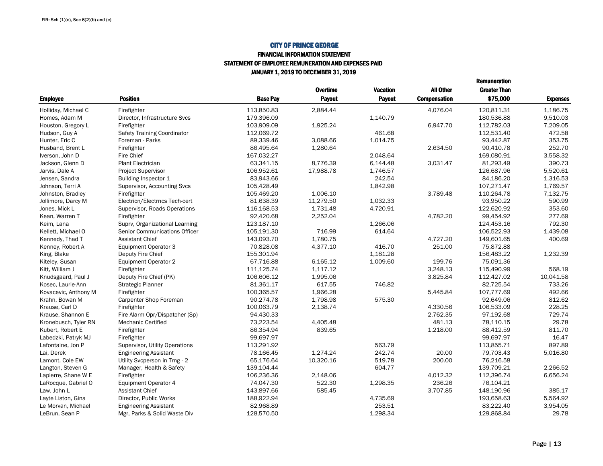#### FINANCIAL INFORMATION STATEMENTSTATEMENT OF EMPLOYEE REMUNERATION AND EXPENSES PAID

JANUARY 1, 2019 TO DECEMBER 31, 2019

|                      |                                      |                 | Overtime  | <b>Vacation</b> | <b>All Other</b>    | <b>Greater Than</b> |                 |
|----------------------|--------------------------------------|-----------------|-----------|-----------------|---------------------|---------------------|-----------------|
| <b>Employee</b>      | <b>Position</b>                      | <b>Base Pav</b> | Payout    | Payout          | <b>Compensation</b> | \$75,000            | <b>Expenses</b> |
| Holliday, Michael C  | Firefighter                          | 113.850.83      | 2.884.44  |                 | 4.076.04            | 120.811.31          | 1.186.75        |
| Homes, Adam M        | Director, Infrastructure Svcs        | 179,396.09      |           | 1,140.79        |                     | 180,536.88          | 9,510.03        |
| Houston, Gregory L   | Firefighter                          | 103,909.09      | 1,925.24  |                 | 6,947.70            | 112,782.03          | 7,209.05        |
| Hudson, Guy A        | <b>Safety Training Coordinator</b>   | 112,069.72      |           | 461.68          |                     | 112,531.40          | 472.58          |
| Hunter, Eric C       | Foreman - Parks                      | 89,339.46       | 3,088.66  | 1,014.75        |                     | 93,442.87           | 353.75          |
| Husband, Brent L     | Firefighter                          | 86,495.64       | 1,280.64  |                 | 2,634.50            | 90,410.78           | 252.70          |
| Iverson, John D      | Fire Chief                           | 167,032.27      |           | 2,048.64        |                     | 169,080.91          | 3,558.32        |
| Jackson, Glenn D     | <b>Plant Electrician</b>             | 63,341.15       | 8.776.39  | 6,144.48        | 3,031.47            | 81.293.49           | 390.73          |
| Jarvis, Dale A       | Project Supervisor                   | 106,952.61      | 17,988.78 | 1,746.57        |                     | 126,687.96          | 5,520.61        |
| Jensen, Sandra       | Building Inspector 1                 | 83,943.66       |           | 242.54          |                     | 84,186.20           | 1,316.53        |
| Johnson, Terri A     | Supervisor, Accounting Svcs          | 105,428.49      |           | 1,842.98        |                     | 107,271.47          | 1,769.57        |
| Johnston, Bradley    | Firefighter                          | 105,469.20      | 1,006.10  |                 | 3,789.48            | 110,264.78          | 7,132.75        |
| Jollimore, Darcy M   | Electricn/Electrncs Tech-cert        | 81,638.39       | 11,279.50 | 1,032.33        |                     | 93,950.22           | 590.99          |
| Jones, Mick L        | Supervisor, Roads Operations         | 116,168.53      | 1,731.48  | 4,720.91        |                     | 122,620.92          | 353.60          |
| Kean, Warren T       | Firefighter                          | 92.420.68       | 2,252.04  |                 | 4,782.20            | 99.454.92           | 277.69          |
| Keim, Lana           | Suprv, Organizational Learning       | 123,187.10      |           | 1,266.06        |                     | 124,453.16          | 792.30          |
| Kellett, Michael O   | <b>Senior Communications Officer</b> | 105,191.30      | 716.99    | 614.64          |                     | 106,522.93          | 1,439.08        |
| Kennedy, Thad T      | <b>Assistant Chief</b>               | 143,093.70      | 1,780.75  |                 | 4,727.20            | 149,601.65          | 400.69          |
| Kenney, Robert A     | <b>Equipment Operator 3</b>          | 70,828.08       | 4,377.10  | 416.70          | 251.00              | 75,872.88           |                 |
| King, Blake          | Deputy Fire Chief                    | 155,301.94      |           | 1,181.28        |                     | 156,483.22          | 1,232.39        |
| Kiteley, Susan       | Equipment Operator 2                 | 67,716.88       | 6,165.12  | 1,009.60        | 199.76              | 75,091.36           |                 |
| Kitt, William J      | Firefighter                          | 111,125.74      | 1,117.12  |                 | 3,248.13            | 115,490.99          | 568.19          |
| Knudsgaard, Paul J   | Deputy Fire Chief (PK)               | 106,606.12      | 1,995.06  |                 | 3,825.84            | 112,427.02          | 10,041.58       |
| Kosec, Laurie-Ann    | Strategic Planner                    | 81,361.17       | 617.55    | 746.82          |                     | 82,725.54           | 733.26          |
| Kovacevic, Anthony M | Firefighter                          | 100,365.57      | 1,966.28  |                 | 5,445.84            | 107,777.69          | 492.66          |
| Krahn, Bowan M       | Carpenter Shop Foreman               | 90,274.78       | 1,798.98  | 575.30          |                     | 92,649.06           | 812.62          |
| Krause, Carl D       | Firefighter                          | 100,063.79      | 2,138.74  |                 | 4,330.56            | 106,533.09          | 228.25          |
| Krause, Shannon E    | Fire Alarm Opr/Dispatcher (Sp)       | 94,430.33       |           |                 | 2,762.35            | 97,192.68           | 729.74          |
| Kronebusch, Tyler RN | <b>Mechanic Certified</b>            | 73,223.54       | 4,405.48  |                 | 481.13              | 78,110.15           | 29.78           |
| Kubert, Robert E     | Firefighter                          | 86,354.94       | 839.65    |                 | 1,218.00            | 88,412.59           | 811.70          |
| Labedzki, Patryk MJ  | Firefighter                          | 99,697.97       |           |                 |                     | 99,697.97           | 16.47           |
| Lafontaine, Jon P    | Supervisor, Utility Operations       | 113,291.92      |           | 563.79          |                     | 113,855.71          | 897.89          |
| Lai, Derek           | <b>Engineering Assistant</b>         | 78,166.45       | 1.274.24  | 242.74          | 20.00               | 79,703.43           | 5,016.80        |
| Lamont, Cole EW      | Utility Svcperson in Trng - 2        | 65,176.64       | 10,320.16 | 519.78          | 200.00              | 76,216.58           |                 |
| Langton, Steven G    | Manager, Health & Safety             | 139,104.44      |           | 604.77          |                     | 139,709.21          | 2.266.52        |
| Lapierre, Shane W E  | Firefighter                          | 106,236.36      | 2,148.06  |                 | 4,012.32            | 112,396.74          | 6,656.24        |
| LaRocque, Gabriel O  | Equipment Operator 4                 | 74,047.30       | 522.30    | 1,298.35        | 236.26              | 76,104.21           |                 |
| Law, John L          | <b>Assistant Chief</b>               | 143,897.66      | 585.45    |                 | 3,707.85            | 148,190.96          | 385.17          |
| Layte Liston, Gina   | Director, Public Works               | 188,922.94      |           | 4,735.69        |                     | 193,658.63          | 5,564.92        |
| Le Morvan, Michael   | <b>Engineering Assistant</b>         | 82,968.89       |           | 253.51          |                     | 83,222.40           | 3,954.05        |
| LeBrun, Sean P       | Mgr, Parks & Solid Waste Div         | 128,570.50      |           | 1,298.34        |                     | 129,868.84          | 29.78           |

Remuneration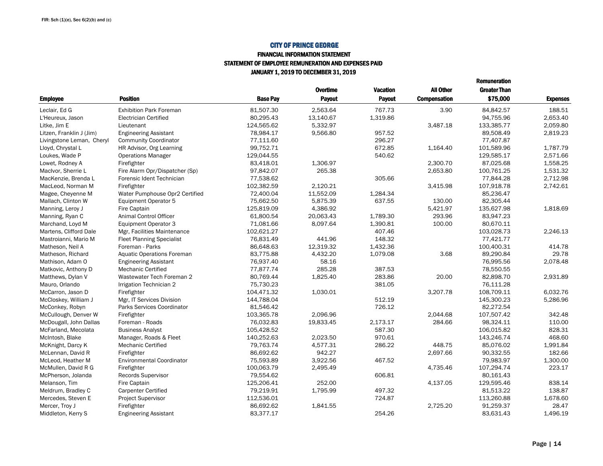### FINANCIAL INFORMATION STATEMENTSTATEMENT OF EMPLOYEE REMUNERATION AND EXPENSES PAID

JANUARY 1, 2019 TO DECEMBER 31, 2019

|                           |                                   |                 | Overtime  | <b>Vacation</b> | All Other           | <b>Greater Than</b> |                 |
|---------------------------|-----------------------------------|-----------------|-----------|-----------------|---------------------|---------------------|-----------------|
| <b>Employee</b>           | <b>Position</b>                   | <b>Base Pav</b> | Payout    | Payout          | <b>Compensation</b> | \$75,000            | <b>Expenses</b> |
| Leclair. Ed G             | <b>Exhibition Park Foreman</b>    | 81.507.30       | 2.563.64  | 767.73          | 3.90                | 84.842.57           | 188.51          |
| L'Heureux, Jason          | <b>Electrician Certified</b>      | 80,295.43       | 13,140.67 | 1,319.86        |                     | 94,755.96           | 2,653.40        |
| Litke, Jim E              | Lieutenant                        | 124,565.62      | 5,332.97  |                 | 3,487.18            | 133,385.77          | 2,059.80        |
| Litzen, Franklin J (Jim)  | <b>Engineering Assistant</b>      | 78,984.17       | 9,566.80  | 957.52          |                     | 89,508.49           | 2,819.23        |
| Livingstone Leman, Cheryl | <b>Community Coordinator</b>      | 77,111.60       |           | 296.27          |                     | 77.407.87           |                 |
| Lloyd, Chrystal L         | HR Advisor, Org Learning          | 99,752.71       |           | 672.85          | 1,164.40            | 101,589.96          | 1,787.79        |
| Loukes, Wade P            | <b>Operations Manager</b>         | 129,044.55      |           | 540.62          |                     | 129,585.17          | 2,571.66        |
| Lowet, Rodney A           | Firefighter                       | 83,418.01       | 1,306.97  |                 | 2.300.70            | 87,025.68           | 1,558.25        |
| MacIvor, Sherrie L        | Fire Alarm Opr/Dispatcher (Sp)    | 97,842.07       | 265.38    |                 | 2,653.80            | 100,761.25          | 1,531.32        |
| MacKenzie, Brenda L       | Forensic Ident Technician         | 77,538.62       |           | 305.66          |                     | 77,844.28           | 2,712.98        |
| MacLeod, Norman M         | Firefighter                       | 102,382.59      | 2,120.21  |                 | 3,415.98            | 107,918.78          | 2,742.61        |
| Magee, Cheyenne M         | Water Pumphouse Opr2 Certified    | 72,400.04       | 11,552.09 | 1.284.34        |                     | 85,236.47           |                 |
| Mallach, Clinton W        | Equipment Operator 5              | 75,662.50       | 5,875.39  | 637.55          | 130.00              | 82,305.44           |                 |
| Manning, Leroy J          | Fire Captain                      | 125,819.09      | 4,386.92  |                 | 5,421.97            | 135,627.98          | 1,818.69        |
| Manning, Ryan C           | Animal Control Officer            | 61.800.54       | 20.063.43 | 1.789.30        | 293.96              | 83.947.23           |                 |
| Marchand, Loyd M          | Equipment Operator 3              | 71,081.66       | 8,097.64  | 1,390.81        | 100.00              | 80,670.11           |                 |
| Martens, Clifford Dale    | Mgr, Facilities Maintenance       | 102.621.27      |           | 407.46          |                     | 103.028.73          | 2.246.13        |
| Mastroianni, Mario M      | <b>Fleet Planning Specialist</b>  | 76,831.49       | 441.96    | 148.32          |                     | 77,421.77           |                 |
| Matheson, Neil A          | Foreman - Parks                   | 86,648.63       | 12,319.32 | 1,432.36        |                     | 100,400.31          | 414.78          |
| Matheson, Richard         | <b>Aquatic Operations Foreman</b> | 83,775.88       | 4,432.20  | 1,079.08        | 3.68                | 89,290.84           | 29.78           |
| Mathison, Adam O          | <b>Engineering Assistant</b>      | 76,937.40       | 58.16     |                 |                     | 76,995.56           | 2,078.48        |
| Matkovic, Anthony D       | <b>Mechanic Certified</b>         | 77,877.74       | 285.28    | 387.53          |                     | 78,550.55           |                 |
| Matthews, Dylan V         | Wastewater Tech Foreman 2         | 80,769.44       | 1,825.40  | 283.86          | 20.00               | 82,898.70           | 2,931.89        |
| Mauro, Orlando            | Irrigation Technician 2           | 75,730.23       |           | 381.05          |                     | 76,111.28           |                 |
| McCarron, Jason D         | Firefighter                       | 104,471.32      | 1,030.01  |                 | 3,207.78            | 108,709.11          | 6.032.76        |
| McCloskey, William J      | Mgr, IT Services Division         | 144,788.04      |           | 512.19          |                     | 145,300.23          | 5,286.96        |
| McConkey, Robyn           | Parks Services Coordinator        | 81,546.42       |           | 726.12          |                     | 82,272.54           |                 |
| McCullough, Denver W      | Firefighter                       | 103.365.78      | 2.096.96  |                 | 2.044.68            | 107.507.42          | 342.48          |
| McDougall, John Dallas    | Foreman - Roads                   | 76,032.83       | 19,833.45 | 2,173.17        | 284.66              | 98,324.11           | 110.00          |
| McFarland, Mecolata       | <b>Business Analyst</b>           | 105,428.52      |           | 587.30          |                     | 106,015.82          | 828.31          |
| McIntosh, Blake           | Manager, Roads & Fleet            | 140,252.63      | 2.023.50  | 970.61          |                     | 143,246.74          | 468.60          |
| McKnight, Darcy K         | <b>Mechanic Certified</b>         | 79,763.74       | 4,577.31  | 286.22          | 448.75              | 85,076.02           | 1,991.84        |
| McLennan, David R         | Firefighter                       | 86,692.62       | 942.27    |                 | 2,697.66            | 90,332.55           | 182.66          |
| McLeod, Heather M         | <b>Environmental Coordinator</b>  | 75,593.89       | 3,922.56  | 467.52          |                     | 79,983.97           | 1,300.00        |
| McMullen, David R G       | Firefighter                       | 100.063.79      | 2,495.49  |                 | 4,735.46            | 107,294.74          | 223.17          |
| McPherson, Jolanda        | <b>Records Supervisor</b>         | 79,554.62       |           | 606.81          |                     | 80,161.43           |                 |
| Melanson, Tim             | Fire Captain                      | 125,206.41      | 252.00    |                 | 4,137.05            | 129,595.46          | 838.14          |
| Meldrum, Bradley C        | <b>Carpenter Certified</b>        | 79,219.91       | 1.795.99  | 497.32          |                     | 81.513.22           | 138.87          |
| Mercedes, Steven E        | Project Supervisor                | 112,536.01      |           | 724.87          |                     | 113,260.88          | 1,678.60        |
| Mercer, Troy J            | Firefighter                       | 86,692.62       | 1,841.55  |                 | 2,725.20            | 91,259.37           | 28.47           |
| Middleton, Kerry S        | <b>Engineering Assistant</b>      | 83,377.17       |           | 254.26          |                     | 83,631.43           | 1,496.19        |

Remuneration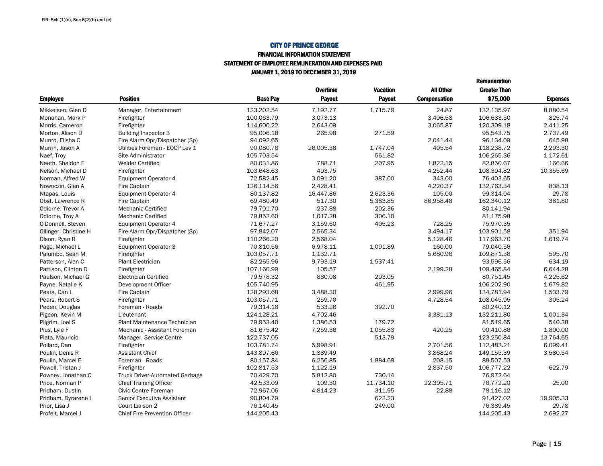#### FINANCIAL INFORMATION STATEMENT STATEMENT OF EMPLOYEE REMUNERATION AND EXPENSES PAIDJANUARY 1, 2019 TO DECEMBER 31, 2019

|                       |                                       |                 |                 |                 |                     | <b>Remuneration</b> |                 |
|-----------------------|---------------------------------------|-----------------|-----------------|-----------------|---------------------|---------------------|-----------------|
|                       |                                       |                 | <b>Overtime</b> | <b>Vacation</b> | <b>All Other</b>    | <b>Greater Than</b> |                 |
| <b>Employee</b>       | <b>Position</b>                       | <b>Base Pav</b> | Payout          | Payout          | <b>Compensation</b> | \$75,000            | <b>Expenses</b> |
| Mikkelsen, Glen D     | Manager, Entertainment                | 123.202.54      | 7,192.77        | 1,715.79        | 24.87               | 132,135.97          | 8.880.54        |
| Monahan, Mark P       | Firefighter                           | 100,063.79      | 3.073.13        |                 | 3.496.58            | 106,633.50          | 825.74          |
| Morris, Cameron       | Firefighter                           | 114.600.22      | 2.643.09        |                 | 3.065.87            | 120.309.18          | 2.411.25        |
| Morton, Alison D      | <b>Building Inspector 3</b>           | 95,006.18       | 265.98          | 271.59          |                     | 95,543.75           | 2,737.49        |
| Munro. Elisha C       | Fire Alarm Opr/Dispatcher (Sp)        | 94,092.65       |                 |                 | 2.041.44            | 96,134.09           | 645.98          |
| Murrin, Jason A       | Utilities Foreman - EOCP Lev 1        | 90,080.76       | 26.005.38       | 1.747.04        | 405.54              | 118,238.72          | 2.293.30        |
| Naef, Troy            | Site Administrator                    | 105,703.54      |                 | 561.82          |                     | 106,265.36          | 1,172.61        |
| Naeth. Sheldon F      | <b>Welder Certified</b>               | 80,031.86       | 788.71          | 207.95          | 1.822.15            | 82.850.67           | 166.66          |
| Nelson, Michael D     | Firefighter                           | 103,648.63      | 493.75          |                 | 4,252.44            | 108,394.82          | 10,355.69       |
| Norman, Alfred W      | Equipment Operator 4                  | 72,582.45       | 3,091.20        | 387.00          | 343.00              | 76,403.65           |                 |
| Nowoczin, Glen A      | Fire Captain                          | 126,114.56      | 2,428.41        |                 | 4,220.37            | 132,763.34          | 838.13          |
| Ntapas, Louis         | Equipment Operator 4                  | 80,137.82       | 16,447.86       | 2,623.36        | 105.00              | 99,314.04           | 29.78           |
| Obst, Lawrence R      | Fire Captain                          | 69,480.49       | 517.30          | 5,383.85        | 86.958.48           | 162,340.12          | 381.80          |
| Odiorne. Trevor A     | <b>Mechanic Certified</b>             | 79,701.70       | 237.88          | 202.36          |                     | 80.141.94           |                 |
| Odiorne, Troy A       | <b>Mechanic Certified</b>             | 79,852.60       | 1,017.28        | 306.10          |                     | 81,175.98           |                 |
| O'Donnell, Steven     | Equipment Operator 4                  | 71,677.27       | 3,159.60        | 405.23          | 728.25              | 75,970.35           |                 |
| Ollinger, Christine H | Fire Alarm Opr/Dispatcher (Sp)        | 97,842.07       | 2,565.34        |                 | 3,494.17            | 103,901.58          | 351.94          |
| Olson, Ryan R         | Firefighter                           | 110,266.20      | 2,568.04        |                 | 5,128.46            | 117,962.70          | 1.619.74        |
| Page, Michael L       | Equipment Operator 3                  | 70,810.56       | 6,978.11        | 1.091.89        | 160.00              | 79,040.56           |                 |
| Palumbo, Sean M       | Firefighter                           | 103,057.71      | 1,132.71        |                 | 5,680.96            | 109,871.38          | 595.70          |
| Patterson, Alan C     | <b>Plant Electrician</b>              | 82,265.96       | 9,793.19        | 1.537.41        |                     | 93,596.56           | 634.19          |
| Pattison, Clinton D   | Firefighter                           | 107,160.99      | 105.57          |                 | 2,199.28            | 109,465.84          | 6,644.28        |
| Paulson, Michael G    | <b>Electrician Certified</b>          | 79,578.32       | 880.08          | 293.05          |                     | 80,751.45           | 4,225.62        |
| Payne, Natalie K      | Development Officer                   | 105,740.95      |                 | 461.95          |                     | 106,202.90          | 1,679.82        |
| Pears, Dan L          | Fire Captain                          | 128,293.68      | 3.488.30        |                 | 2.999.96            | 134,781.94          | 1,533.79        |
| Pears, Robert S       | Firefighter                           | 103,057.71      | 259.70          |                 | 4,728.54            | 108,045.95          | 305.24          |
| Peden, Douglas        | Foreman - Roads                       | 79,314.16       | 533.26          | 392.70          |                     | 80,240.12           |                 |
| Pigeon, Kevin M       | Lieutenant                            | 124,128.21      | 4,702.46        |                 | 3,381.13            | 132,211.80          | 1,001.34        |
| Pilgrim, Joel S       | <b>Plant Maintenance Technician</b>   | 79,953.40       | 1,386.53        | 179.72          |                     | 81,519.65           | 540.38          |
| Pius, Lyle F          | Mechanic - Assistant Foreman          | 81,675.42       | 7,259.36        | 1,055.83        | 420.25              | 90,410.86           | 1,800.00        |
| Plata, Mauricio       | Manager, Service Centre               | 122,737.05      |                 | 513.79          |                     | 123,250.84          | 13,764.65       |
| Pollard, Dan          | Firefighter                           | 103,781.74      | 5,998.91        |                 | 2,701.56            | 112,482.21          | 6.099.41        |
| Poulin, Denis R       | <b>Assistant Chief</b>                | 143,897.66      | 1,389.49        |                 | 3,868.24            | 149,155.39          | 3,580.54        |
| Poulin, Marcel E      | Foreman - Roads                       | 80,157.84       | 6,256.85        | 1,884.69        | 208.15              | 88,507.53           |                 |
| Powell, Tristan J     | Firefighter                           | 102,817.53      | 1,122.19        |                 | 2,837.50            | 106,777.22          | 622.79          |
| Powney, Jonathan C    | <b>Truck Driver-Automated Garbage</b> | 70,429.70       | 5,812.80        | 730.14          |                     | 76,972.64           |                 |
| Price, Norman P       | <b>Chief Training Officer</b>         | 42,533.09       | 109.30          | 11,734.10       | 22,395.71           | 76,772.20           | 25.00           |
| Pridham, Dustin       | Civic Centre Foreman                  | 72,967.06       | 4,814.23        | 311.95          | 22.88               | 78,116.12           |                 |
| Pridham, Dyrarene L   | Senior Executive Assistant            | 90,804.79       |                 | 622.23          |                     | 91,427.02           | 19,905.33       |
| Prior, Lisa J         | Court Liaison 2                       | 76,140.45       |                 | 249.00          |                     | 76,389.45           | 29.78           |
| Profeit, Marcel J     | <b>Chief Fire Prevention Officer</b>  | 144,205.43      |                 |                 |                     | 144,205.43          | 2,692.27        |
|                       |                                       |                 |                 |                 |                     |                     |                 |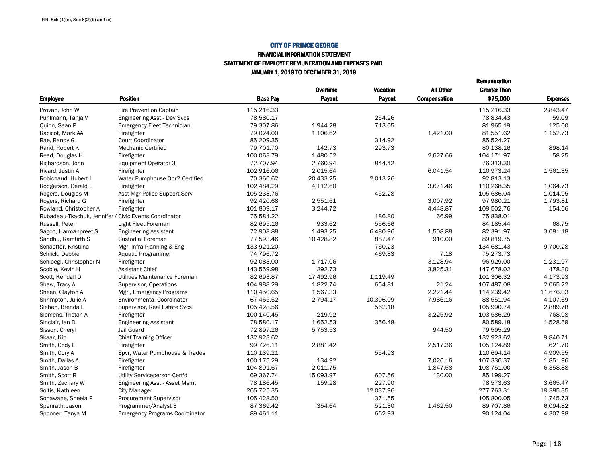#### FINANCIAL INFORMATION STATEMENTSTATEMENT OF EMPLOYEE REMUNERATION AND EXPENSES PAID

JANUARY 1, 2019 TO DECEMBER 31, 2019

|                                                       |                                       |                 | <b>Overtime</b> | <b>Vacation</b> | All Other           | <b>Greater Than</b> |                 |
|-------------------------------------------------------|---------------------------------------|-----------------|-----------------|-----------------|---------------------|---------------------|-----------------|
| <b>Employee</b>                                       | <b>Position</b>                       | <b>Base Pav</b> | Payout          | Payout          | <b>Compensation</b> | \$75,000            | <b>Expenses</b> |
| Provan, John W                                        | <b>Fire Prevention Captain</b>        | 115,216.33      |                 |                 |                     | 115,216.33          | 2,843.47        |
| Puhlmann, Tanja V                                     | <b>Engineering Asst - Dev Svcs</b>    | 78.580.17       |                 | 254.26          |                     | 78.834.43           | 59.09           |
| Quinn, Sean P                                         | <b>Emergency Fleet Technician</b>     | 79,307.86       | 1,944.28        | 713.05          |                     | 81,965.19           | 125.00          |
| Racicot, Mark AA                                      | Firefighter                           | 79,024.00       | 1.106.62        |                 | 1,421.00            | 81,551.62           | 1,152.73        |
| Rae, Randy G                                          | <b>Court Coordinator</b>              | 85.209.35       |                 | 314.92          |                     | 85.524.27           |                 |
| Rand, Robert K                                        | <b>Mechanic Certified</b>             | 79,701.70       | 142.73          | 293.73          |                     | 80,138.16           | 898.14          |
| Read, Douglas H                                       | Firefighter                           | 100,063.79      | 1,480.52        |                 | 2,627.66            | 104,171.97          | 58.25           |
| Richardson, John                                      | <b>Equipment Operator 3</b>           | 72,707.94       | 2,760.94        | 844.42          |                     | 76,313.30           |                 |
| Rivard, Justin A                                      | Firefighter                           | 102,916.06      | 2,015.64        |                 | 6.041.54            | 110,973.24          | 1,561.35        |
| Robichaud, Hubert L                                   | Water Pumphouse Opr2 Certified        | 70,366.62       | 20,433.25       | 2,013.26        |                     | 92,813.13           |                 |
| Rodgerson, Gerald L                                   | Firefighter                           | 102,484.29      | 4,112.60        |                 | 3,671.46            | 110,268.35          | 1.064.73        |
| Rogers, Douglas M                                     | Asst Mgr Police Support Serv          | 105,233.76      |                 | 452.28          |                     | 105,686.04          | 1,014.95        |
| Rogers, Richard G                                     | Firefighter                           | 92,420.68       | 2.551.61        |                 | 3.007.92            | 97,980.21           | 1,793.81        |
| Rowland, Christopher A                                | Firefighter                           | 101,809.17      | 3,244.72        |                 | 4,448.87            | 109,502.76          | 154.66          |
| Rubadeau-Tkachuk, Jennifer A Civic Events Coordinator |                                       | 75.584.22       |                 | 186.80          | 66.99               | 75.838.01           |                 |
| Russell, Peter                                        | Light Fleet Foreman                   | 82,695.16       | 933.62          | 556.66          |                     | 84,185.44           | 68.75           |
| Sagoo, Harmanpreet S                                  | <b>Engineering Assistant</b>          | 72,908.88       | 1,493.25        | 6,480.96        | 1,508.88            | 82,391.97           | 3,081.18        |
| Sandhu, Ramtirth S                                    | <b>Custodial Foreman</b>              | 77,593.46       | 10,428.82       | 887.47          | 910.00              | 89.819.75           |                 |
| Schaeffer, Kristiina                                  | Mgr, Infra Planning & Eng             | 133,921.20      |                 | 760.23          |                     | 134,681.43          | 9,700.28        |
| Schlick, Debbie                                       | Aquatic Programmer                    | 74,796.72       |                 | 469.83          | 7.18                | 75,273.73           |                 |
| Schloegl, Christopher N                               | Firefighter                           | 92,083.00       | 1.717.06        |                 | 3,128.94            | 96,929.00           | 1.231.97        |
| Scobie, Kevin H                                       | <b>Assistant Chief</b>                | 143,559.98      | 292.73          |                 | 3,825.31            | 147,678.02          | 478.30          |
| Scott, Kendall D                                      | Utilities Maintenance Foreman         | 82,693.87       | 17,492.96       | 1,119.49        |                     | 101,306.32          | 4,173.93        |
| Shaw, Tracy A                                         | Supervisor, Operations                | 104,988.29      | 1.822.74        | 654.81          | 21.24               | 107,487.08          | 2.065.22        |
| Sheen, Clayton A                                      | Mgr., Emergency Programs              | 110,450.65      | 1,567.33        |                 | 2,221.44            | 114,239.42          | 11,676.03       |
| Shrimpton, Julie A                                    | <b>Environmental Coordinator</b>      | 67,465.52       | 2,794.17        | 10,306.09       | 7,986.16            | 88,551.94           | 4,107.69        |
| Sieben, Brenda L                                      | Supervisor, Real Estate Svcs          | 105,428.56      |                 | 562.18          |                     | 105,990.74          | 2,889.78        |
| Siemens, Tristan A                                    | Firefighter                           | 100,140.45      | 219.92          |                 | 3,225.92            | 103,586.29          | 768.98          |
| Sinclair, Ian D                                       | <b>Engineering Assistant</b>          | 78,580.17       | 1.652.53        | 356.48          |                     | 80,589.18           | 1.528.69        |
| Sisson, Cheryl                                        | Jail Guard                            | 72,897.26       | 5,753.53        |                 | 944.50              | 79,595.29           |                 |
| Skaar, Kip                                            | <b>Chief Training Officer</b>         | 132,923.62      |                 |                 |                     | 132,923.62          | 9.840.71        |
| Smith, Cody E                                         | Firefighter                           | 99,726.11       | 2,881.42        |                 | 2,517.36            | 105,124.89          | 621.70          |
| Smith, Cory A                                         | Spvr, Water Pumphouse & Trades        | 110,139.21      |                 | 554.93          |                     | 110.694.14          | 4,909.55        |
| Smith, Dallas A                                       | Firefighter                           | 100,175.29      | 134.92          |                 | 7,026.16            | 107,336.37          | 1.851.96        |
| Smith, Jason B                                        | Firefighter                           | 104,891.67      | 2.011.75        |                 | 1.847.58            | 108,751.00          | 6,358.88        |
| Smith, Scott R                                        | Utility Serviceperson-Cert'd          | 69,367.74       | 15,093.97       | 607.56          | 130.00              | 85,199.27           |                 |
| Smith, Zachary W                                      | Engineering Asst - Asset Mgmt         | 78,186.45       | 159.28          | 227.90          |                     | 78,573.63           | 3,665.47        |
| Soltis, Kathleen                                      | <b>City Manager</b>                   | 265,725.35      |                 | 12,037.96       |                     | 277,763.31          | 19,385.35       |
| Sonawane, Sheela P                                    | <b>Procurement Supervisor</b>         | 105,428.50      |                 | 371.55          |                     | 105,800.05          | 1,745.73        |
| Spenrath, Jason                                       | Programmer/Analyst 3                  | 87,369.42       | 354.64          | 521.30          | 1,462.50            | 89,707.86           | 6.094.82        |
| Spooner, Tanya M                                      | <b>Emergency Programs Coordinator</b> | 89,461.11       |                 | 662.93          |                     | 90,124.04           | 4,307.98        |

Remuneration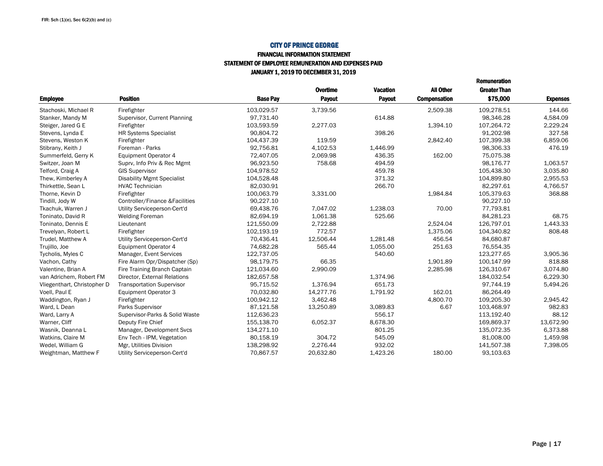#### FINANCIAL INFORMATION STATEMENT STATEMENT OF EMPLOYEE REMUNERATION AND EXPENSES PAIDJANUARY 1, 2019 TO DECEMBER 31, 2019

|                             |                                   |                 |                 |                 |                     | <b>Remuneration</b> |                 |
|-----------------------------|-----------------------------------|-----------------|-----------------|-----------------|---------------------|---------------------|-----------------|
|                             |                                   |                 | <b>Overtime</b> | <b>Vacation</b> | <b>All Other</b>    | <b>Greater Than</b> |                 |
| <b>Employee</b>             | <b>Position</b>                   | <b>Base Pay</b> | <b>Payout</b>   | Payout          | <b>Compensation</b> | \$75,000            | <b>Expenses</b> |
| Stachoski, Michael R        | Firefighter                       | 103.029.57      | 3,739.56        |                 | 2,509.38            | 109.278.51          | 144.66          |
| Stanker, Mandy M            | Supervisor, Current Planning      | 97,731.40       |                 | 614.88          |                     | 98,346.28           | 4,584.09        |
| Steiger, Jared G E          | Firefighter                       | 103,593.59      | 2,277.03        |                 | 1,394.10            | 107,264.72          | 2,229.24        |
| Stevens, Lynda E            | <b>HR Systems Specialist</b>      | 90.804.72       |                 | 398.26          |                     | 91,202.98           | 327.58          |
| Stevens, Weston K           | Firefighter                       | 104,437.39      | 119.59          |                 | 2,842.40            | 107,399.38          | 6.859.06        |
| Stibrany, Keith J           | Foreman - Parks                   | 92,756.81       | 4,102.53        | 1,446.99        |                     | 98,306.33           | 476.19          |
| Summerfeld, Gerry K         | Equipment Operator 4              | 72,407.05       | 2,069.98        | 436.35          | 162.00              | 75,075.38           |                 |
| Switzer, Joan M             | Suprv, Info Priv & Rec Mgmt       | 96.923.50       | 758.68          | 494.59          |                     | 98,176.77           | 1,063.57        |
| Telford, Craig A            | <b>GIS Supervisor</b>             | 104,978.52      |                 | 459.78          |                     | 105,438.30          | 3,035.80        |
| Thew, Kimberley A           | <b>Disability Mgmt Specialist</b> | 104.528.48      |                 | 371.32          |                     | 104.899.80          | 2.955.53        |
| Thirkettle, Sean L          | <b>HVAC Technician</b>            | 82,030.91       |                 | 266.70          |                     | 82,297.61           | 4,766.57        |
| Thorne, Kevin D             | Firefighter                       | 100,063.79      | 3,331.00        |                 | 1,984.84            | 105,379.63          | 368.88          |
| Tindill, Jody W             | Controller/Finance &Facilities    | 90.227.10       |                 |                 |                     | 90,227.10           |                 |
| Tkachuk, Warren J           | Utility Serviceperson-Cert'd      | 69.438.76       | 7.047.02        | 1.238.03        | 70.00               | 77.793.81           |                 |
| Toninato, David R           | <b>Welding Foreman</b>            | 82,694.19       | 1,061.38        | 525.66          |                     | 84,281.23           | 68.75           |
| Toninato, Dennis E          | Lieutenant                        | 121,550.09      | 2,722.88        |                 | 2,524.04            | 126,797.01          | 1,443.33        |
| Trevelyan, Robert L         | Firefighter                       | 102,193.19      | 772.57          |                 | 1,375.06            | 104,340.82          | 808.48          |
| Trudel, Matthew A           | Utility Serviceperson-Cert'd      | 70,436.41       | 12,506.44       | 1.281.48        | 456.54              | 84.680.87           |                 |
| Trujillo, Joe               | Equipment Operator 4              | 74,682.28       | 565.44          | 1,055.00        | 251.63              | 76,554.35           |                 |
| Tycholis, Myles C           | Manager, Event Services           | 122,737.05      |                 | 540.60          |                     | 123,277.65          | 3,905.36        |
| Vachon, Cathy               | Fire Alarm Opr/Dispatcher (Sp)    | 98,179.75       | 66.35           |                 | 1,901.89            | 100,147.99          | 818.88          |
| Valentine, Brian A          | Fire Training Branch Captain      | 121,034.60      | 2,990.09        |                 | 2,285.98            | 126,310.67          | 3.074.80        |
| van Adrichem, Robert FM     | Director, External Relations      | 182,657.58      |                 | 1,374.96        |                     | 184,032.54          | 6,229.30        |
| Vliegenthart, Christopher D | <b>Transportation Supervisor</b>  | 95,715.52       | 1,376.94        | 651.73          |                     | 97,744.19           | 5,494.26        |
| Voell, Paul E               | Equipment Operator 3              | 70,032.80       | 14.277.76       | 1,791.92        | 162.01              | 86,264.49           |                 |
| Waddington, Ryan J          | Firefighter                       | 100,942.12      | 3.462.48        |                 | 4.800.70            | 109.205.30          | 2.945.42        |
| Ward, L Dean                | Parks Supervisor                  | 87,121.58       | 13,250.89       | 3,089.83        | 6.67                | 103,468.97          | 982.83          |
| Ward, Larry A               | Supervisor-Parks & Solid Waste    | 112,636.23      |                 | 556.17          |                     | 113,192.40          | 88.12           |
| Warner, Cliff               | Deputy Fire Chief                 | 155,138.70      | 6,052.37        | 8,678.30        |                     | 169,869.37          | 13,672.90       |
| Wasnik, Deanna L            | Manager, Development Svcs         | 134,271.10      |                 | 801.25          |                     | 135.072.35          | 6,373.88        |
| Watkins, Claire M           | Env Tech - IPM, Vegetation        | 80,158.19       | 304.72          | 545.09          |                     | 81,008.00           | 1,459.98        |
| Wedel, William G            | Mgr, Utilities Division           | 138,298.92      | 2,276.44        | 932.02          |                     | 141,507.38          | 7,398.05        |
| Weightman, Matthew F        | Utility Serviceperson-Cert'd      | 70,867.57       | 20,632.80       | 1,423.26        | 180.00              | 93,103.63           |                 |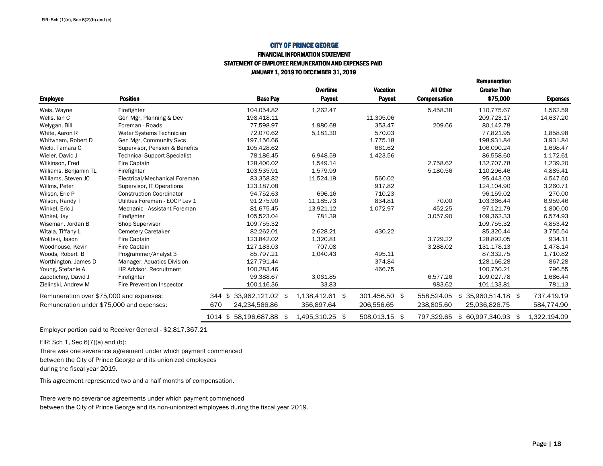#### FINANCIAL INFORMATION STATEMENTSTATEMENT OF EMPLOYEE REMUNERATION AND EXPENSES PAID

JANUARY 1, 2019 TO DECEMBER 31, 2019

|                                           |                                     |           |                      |      | Overtime        | <b>Vacation</b> | <b>All Other</b>    | <b>Greater Than</b>    |     |                 |
|-------------------------------------------|-------------------------------------|-----------|----------------------|------|-----------------|-----------------|---------------------|------------------------|-----|-----------------|
| <b>Employee</b>                           | <b>Position</b>                     |           | <b>Base Pay</b>      |      | <b>Payout</b>   | <b>Payout</b>   | <b>Compensation</b> | \$75,000               |     | <b>Expenses</b> |
| Weis, Wayne                               | Firefighter                         |           | 104,054.82           |      | 1,262.47        |                 | 5,458.38            | 110,775.67             |     | 1,562.59        |
| Wells, lan C                              | Gen Mgr, Planning & Dev             |           | 198,418.11           |      |                 | 11,305.06       |                     | 209,723.17             |     | 14,637.20       |
| Welygan, Bill                             | Foreman - Roads                     |           | 77.598.97            |      | 1.980.68        | 353.47          | 209.66              | 80.142.78              |     |                 |
| White, Aaron R                            | Water Systems Technician            |           | 72.070.62            |      | 5,181.30        | 570.03          |                     | 77,821.95              |     | 1,858.98        |
| Whitwham, Robert D                        | Gen Mgr, Community Svcs             |           | 197,156.66           |      |                 | 1,775.18        |                     | 198.931.84             |     | 3.931.84        |
| Wicki, Tamara C                           | Supervisor, Pension & Benefits      |           | 105,428.62           |      |                 | 661.62          |                     | 106,090.24             |     | 1,698.47        |
| Wieler, David J                           | <b>Technical Support Specialist</b> |           | 78,186.45            |      | 6,948.59        | 1,423.56        |                     | 86,558.60              |     | 1,172.61        |
| Wilkinson, Fred                           | Fire Captain                        |           | 128.400.02           |      | 1,549.14        |                 | 2,758.62            | 132.707.78             |     | 1,239.20        |
| Williams, Benjamin TL                     | Firefighter                         |           | 103,535.91           |      | 1.579.99        |                 | 5,180.56            | 110,296.46             |     | 4,885.41        |
| Williams, Steven JC                       | Electrical/Mechanical Foreman       |           | 83,358.82            |      | 11,524.19       | 560.02          |                     | 95.443.03              |     | 4,547.60        |
| Willms, Peter                             | Supervisor, IT Operations           |           | 123,187.08           |      |                 | 917.82          |                     | 124,104.90             |     | 3,260.71        |
| Wilson, Eric P                            | <b>Construction Coordinator</b>     |           | 94,752.63            |      | 696.16          | 710.23          |                     | 96,159.02              |     | 270.00          |
| Wilson, Randy T                           | Utilities Foreman - EOCP Lev 1      |           | 91,275.90            |      | 11,185.73       | 834.81          | 70.00               | 103,366.44             |     | 6,959.46        |
| Winkel, Eric J                            | Mechanic - Assistant Foreman        |           | 81.675.45            |      | 13.921.12       | 1,072.97        | 452.25              | 97.121.79              |     | 1,800.00        |
| Winkel, Jay                               | Firefighter                         |           | 105,523.04           |      | 781.39          |                 | 3,057.90            | 109,362.33             |     | 6,574.93        |
| Wiseman, Jordan B                         | <b>Shop Supervisor</b>              |           | 109,755.32           |      |                 |                 |                     | 109,755.32             |     | 4,853.42        |
| Witala, Tiffany L                         | <b>Cemetery Caretaker</b>           |           | 82,262.01            |      | 2,628.21        | 430.22          |                     | 85,320.44              |     | 3,755.54        |
| Wolitski, Jason                           | Fire Captain                        |           | 123,842.02           |      | 1,320.81        |                 | 3,729.22            | 128,892.05             |     | 934.11          |
| Woodhouse, Kevin                          | Fire Captain                        |           | 127,183.03           |      | 707.08          |                 | 3,288.02            | 131,178.13             |     | 1,478.14        |
| Woods, Robert B                           | Programmer/Analyst 3                |           | 85,797.21            |      | 1,040.43        | 495.11          |                     | 87,332.75              |     | 1,710.82        |
| Worthington, James D                      | Manager, Aquatics Division          |           | 127,791.44           |      |                 | 374.84          |                     | 128,166.28             |     | 867.28          |
| Young, Stefanie A                         | HR Advisor, Recruitment             |           | 100,283.46           |      |                 | 466.75          |                     | 100,750.21             |     | 796.55          |
| Zapotichny, David J                       | Firefighter                         |           | 99.388.67            |      | 3.061.85        |                 | 6.577.26            | 109.027.78             |     | 1,686.44        |
| Zielinski, Andrew M                       | Fire Prevention Inspector           |           | 100,116.36           |      | 33.83           |                 | 983.62              | 101,133.81             |     | 781.13          |
| Remuneration over \$75,000 and expenses:  |                                     | 344<br>\$ | 33,962,121.02 \$     |      | 1,138,412.61 \$ | 301,456.50 \$   | 558,524.05          | 35,960,514.18 \$<br>\$ |     | 737,419.19      |
| Remuneration under \$75,000 and expenses: |                                     | 670       | 24,234,566.86        |      | 356,897.64      | 206,556.65      | 238,805.60          | 25,036,826.75          |     | 584,774.90      |
|                                           |                                     |           | 1014 \$58,196,687.88 | - \$ | 1.495.310.25 \$ | 508.013.15      | \$<br>797.329.65    | \$60,997,340.93        | \$. | 1,322,194.09    |

Employer portion paid to Receiver General - \$2,817,367.21

FIR: Sch 1, Sec 6(7)(a) and (b):

There was one severance agreement under which payment commenced between the City of Prince George and its unionized employeesduring the fiscal year 2019.

This agreement represented two and a half months of compensation.

There were no severance agreements under which payment commenced between the City of Prince George and its non-unionized employees during the fiscal year 2019. Remuneration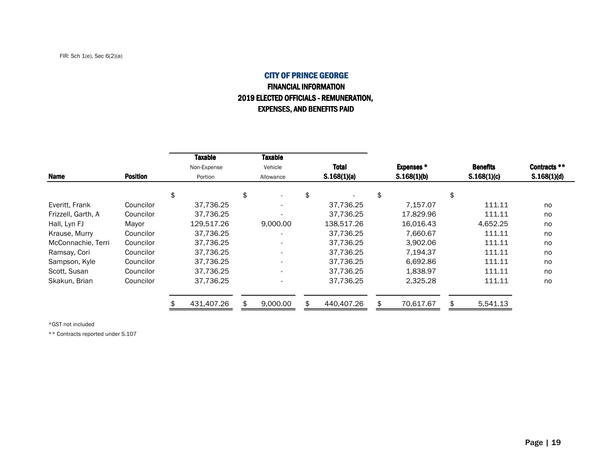# CITY OF PRINCE GEORGE FINANCIAL INFORMATION2019 ELECTED OFFICIALS - REMUNERATION, EXPENSES, AND BENEFITS PAID

| Name               | <b>Position</b> | <b>Taxable</b><br>Non-Expense<br>Portion |    | <b>Taxable</b><br>Vehicle<br>Allowance |    | <b>Total</b><br>S.168(1)(a) |    |           |          | <b>Expenses *</b><br>S.168(1)(b) | <b>Benefits</b><br>S.168(1)(c) | Contracts **<br>S.168(1)(d) |
|--------------------|-----------------|------------------------------------------|----|----------------------------------------|----|-----------------------------|----|-----------|----------|----------------------------------|--------------------------------|-----------------------------|
|                    |                 | \$                                       | \$ |                                        | \$ |                             | \$ |           | \$       |                                  |                                |                             |
| Everitt, Frank     | Councilor       | 37.736.25                                |    |                                        |    | 37.736.25                   |    | 7.157.07  | 111.11   | no                               |                                |                             |
| Frizzell, Garth, A | Councilor       | 37.736.25                                |    |                                        |    | 37.736.25                   |    | 17,829.96 | 111.11   | no                               |                                |                             |
| Hall, Lyn FJ       | Mayor           | 129,517.26                               |    | 9,000.00                               |    | 138,517.26                  |    | 16,016.43 | 4.652.25 | no                               |                                |                             |
| Krause, Murry      | Councilor       | 37.736.25                                |    |                                        |    | 37.736.25                   |    | 7,660.67  | 111.11   | no                               |                                |                             |
| McConnachie, Terri | Councilor       | 37.736.25                                |    |                                        |    | 37,736.25                   |    | 3.902.06  | 111.11   | no                               |                                |                             |
| Ramsay, Cori       | Councilor       | 37.736.25                                |    |                                        |    | 37,736.25                   |    | 7.194.37  | 111.11   | no                               |                                |                             |
| Sampson, Kyle      | Councilor       | 37.736.25                                |    |                                        |    | 37.736.25                   |    | 6,692.86  | 111.11   | no                               |                                |                             |
| Scott, Susan       | Councilor       | 37.736.25                                |    |                                        |    | 37.736.25                   |    | 1,838.97  | 111.11   | no                               |                                |                             |
| Skakun, Brian      | Councilor       | 37,736.25                                |    |                                        |    | 37,736.25                   |    | 2,325.28  | 111.11   | no                               |                                |                             |
|                    |                 | 431,407.26                               |    | 9,000.00                               |    | 440,407.26                  |    | 70,617.67 | 5,541.13 |                                  |                                |                             |

\*GST not included

\*\* Contracts reported under S.107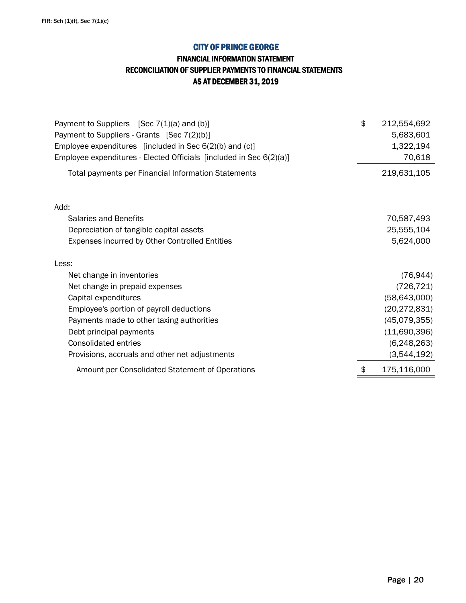## FINANCIAL INFORMATION STATEMENT

### RECONCILIATION OF SUPPLIER PAYMENTS TO FINANCIAL STATEMENTS

AS AT DECEMBER 31, 2019

| Payment to Suppliers [Sec 7(1)(a) and (b)]                          | \$<br>212,554,692 |
|---------------------------------------------------------------------|-------------------|
| Payment to Suppliers - Grants [Sec 7(2)(b)]                         | 5,683,601         |
| Employee expenditures [included in Sec 6(2)(b) and (c)]             | 1,322,194         |
| Employee expenditures - Elected Officials [included in Sec 6(2)(a)] | 70,618            |
| Total payments per Financial Information Statements                 | 219,631,105       |
| Add:                                                                |                   |
| <b>Salaries and Benefits</b>                                        | 70,587,493        |
| Depreciation of tangible capital assets                             | 25,555,104        |
| Expenses incurred by Other Controlled Entities                      | 5,624,000         |
| Less:                                                               |                   |
| Net change in inventories                                           | (76, 944)         |
| Net change in prepaid expenses                                      | (726, 721)        |
| Capital expenditures                                                | (58, 643, 000)    |
| Employee's portion of payroll deductions                            | (20, 272, 831)    |
| Payments made to other taxing authorities                           | (45,079,355)      |
| Debt principal payments                                             | (11,690,396)      |
| <b>Consolidated entries</b>                                         | (6,248,263)       |
| Provisions, accruals and other net adjustments                      | (3,544,192)       |
| Amount per Consolidated Statement of Operations                     | \$<br>175,116,000 |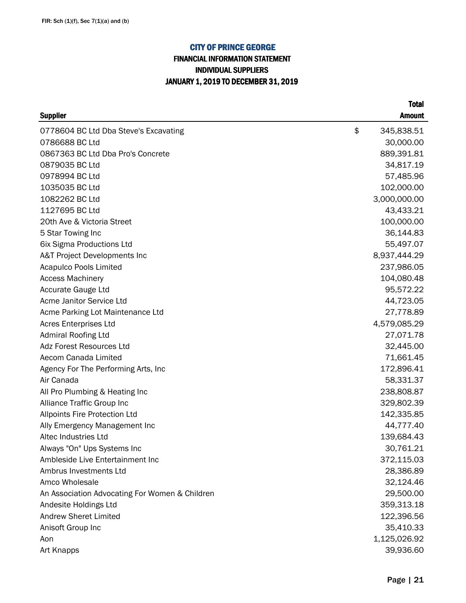# FINANCIAL INFORMATION STATEMENT INDIVIDUAL SUPPLIERS JANUARY 1, 2019 TO DECEMBER 31, 2019

| <b>Supplier</b>                                | <b>Amount</b>    |
|------------------------------------------------|------------------|
| 0778604 BC Ltd Dba Steve's Excavating          | \$<br>345,838.51 |
| 0786688 BC Ltd                                 | 30,000.00        |
| 0867363 BC Ltd Dba Pro's Concrete              | 889,391.81       |
| 0879035 BC Ltd                                 | 34,817.19        |
| 0978994 BC Ltd                                 | 57,485.96        |
| 1035035 BC Ltd                                 | 102,000.00       |
| 1082262 BC Ltd                                 | 3,000,000.00     |
| 1127695 BC Ltd                                 | 43,433.21        |
| 20th Ave & Victoria Street                     | 100,000.00       |
| 5 Star Towing Inc                              | 36,144.83        |
| 6ix Sigma Productions Ltd                      | 55,497.07        |
| A&T Project Developments Inc                   | 8,937,444.29     |
| <b>Acapulco Pools Limited</b>                  | 237,986.05       |
| <b>Access Machinery</b>                        | 104,080.48       |
| Accurate Gauge Ltd                             | 95,572.22        |
| Acme Janitor Service Ltd                       | 44,723.05        |
| Acme Parking Lot Maintenance Ltd               | 27,778.89        |
| <b>Acres Enterprises Ltd</b>                   | 4,579,085.29     |
| <b>Admiral Roofing Ltd</b>                     | 27,071.78        |
| <b>Adz Forest Resources Ltd</b>                | 32,445.00        |
| Aecom Canada Limited                           | 71,661.45        |
| Agency For The Performing Arts, Inc.           | 172,896.41       |
| Air Canada                                     | 58,331.37        |
| All Pro Plumbing & Heating Inc                 | 238,808.87       |
| Alliance Traffic Group Inc                     | 329,802.39       |
| Allpoints Fire Protection Ltd                  | 142,335.85       |
| Ally Emergency Management Inc                  | 44,777.40        |
| Altec Industries Ltd                           | 139,684.43       |
| Always "On" Ups Systems Inc                    | 30,761.21        |
| Ambleside Live Entertainment Inc               | 372,115.03       |
| Ambrus Investments Ltd                         | 28,386.89        |
| Amco Wholesale                                 | 32,124.46        |
| An Association Advocating For Women & Children | 29,500.00        |
| Andesite Holdings Ltd                          | 359,313.18       |
| <b>Andrew Sheret Limited</b>                   | 122,396.56       |
| Anisoft Group Inc                              | 35,410.33        |
| Aon                                            | 1,125,026.92     |
| Art Knapps                                     | 39,936.60        |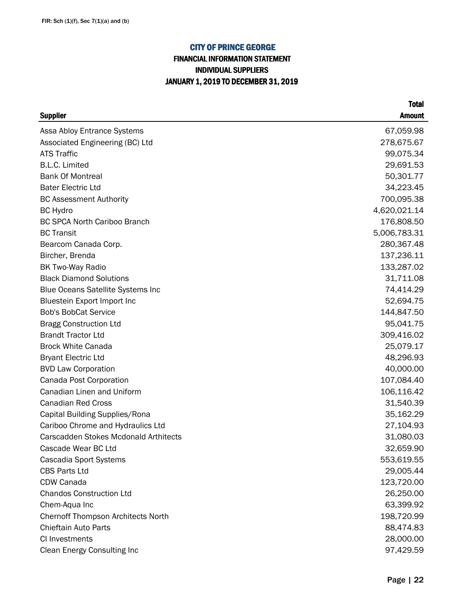# FINANCIAL INFORMATION STATEMENT INDIVIDUAL SUPPLIERS JANUARY 1, 2019 TO DECEMBER 31, 2019

| <b>Supplier</b>                              | <b>Amount</b> |
|----------------------------------------------|---------------|
| Assa Abloy Entrance Systems                  | 67,059.98     |
| Associated Engineering (BC) Ltd              | 278,675.67    |
| <b>ATS Traffic</b>                           | 99,075.34     |
| <b>B.L.C. Limited</b>                        | 29,691.53     |
| <b>Bank Of Montreal</b>                      | 50,301.77     |
| <b>Bater Electric Ltd</b>                    | 34,223.45     |
| <b>BC Assessment Authority</b>               | 700,095.38    |
| <b>BC</b> Hydro                              | 4,620,021.14  |
| <b>BC SPCA North Cariboo Branch</b>          | 176,808.50    |
| <b>BC Transit</b>                            | 5,006,783.31  |
| Bearcom Canada Corp.                         | 280,367.48    |
| Bircher, Brenda                              | 137,236.11    |
| <b>BK Two-Way Radio</b>                      | 133,287.02    |
| <b>Black Diamond Solutions</b>               | 31,711.08     |
| <b>Blue Oceans Satellite Systems Inc</b>     | 74,414.29     |
| Bluestein Export Import Inc                  | 52,694.75     |
| <b>Bob's BobCat Service</b>                  | 144,847.50    |
| <b>Bragg Construction Ltd</b>                | 95,041.75     |
| <b>Brandt Tractor Ltd</b>                    | 309,416.02    |
| <b>Brock White Canada</b>                    | 25,079.17     |
| <b>Bryant Electric Ltd</b>                   | 48,296.93     |
| <b>BVD Law Corporation</b>                   | 40,000.00     |
| Canada Post Corporation                      | 107,084.40    |
| Canadian Linen and Uniform                   | 106,116.42    |
| <b>Canadian Red Cross</b>                    | 31,540.39     |
| Capital Building Supplies/Rona               | 35,162.29     |
| Cariboo Chrome and Hydraulics Ltd            | 27,104.93     |
| <b>Carscadden Stokes Mcdonald Arthitects</b> | 31,080.03     |
| Cascade Wear BC Ltd                          | 32,659.90     |
| Cascadia Sport Systems                       | 553,619.55    |
| <b>CBS Parts Ltd</b>                         | 29,005.44     |
| CDW Canada                                   | 123,720.00    |
| <b>Chandos Construction Ltd</b>              | 26,250.00     |
| Chem-Aqua Inc                                | 63,399.92     |
| <b>Chernoff Thompson Architects North</b>    | 198,720.99    |
| Chieftain Auto Parts                         | 88,474.83     |
| CI Investments                               | 28,000.00     |
| Clean Energy Consulting Inc                  | 97,429.59     |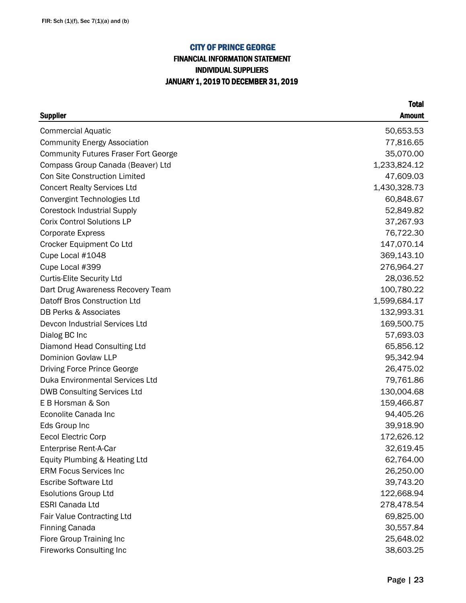# FINANCIAL INFORMATION STATEMENT INDIVIDUAL SUPPLIERS JANUARY 1, 2019 TO DECEMBER 31, 2019

| <b>Supplier</b>                             | <b>Amount</b> |
|---------------------------------------------|---------------|
| <b>Commercial Aquatic</b>                   | 50,653.53     |
| <b>Community Energy Association</b>         | 77,816.65     |
| <b>Community Futures Fraser Fort George</b> | 35,070.00     |
| Compass Group Canada (Beaver) Ltd           | 1,233,824.12  |
| <b>Con Site Construction Limited</b>        | 47,609.03     |
| <b>Concert Realty Services Ltd</b>          | 1,430,328.73  |
| Convergint Technologies Ltd                 | 60,848.67     |
| <b>Corestock Industrial Supply</b>          | 52,849.82     |
| <b>Corix Control Solutions LP</b>           | 37,267.93     |
| <b>Corporate Express</b>                    | 76,722.30     |
| Crocker Equipment Co Ltd                    | 147,070.14    |
| Cupe Local #1048                            | 369,143.10    |
| Cupe Local #399                             | 276,964.27    |
| <b>Curtis-Elite Security Ltd</b>            | 28,036.52     |
| Dart Drug Awareness Recovery Team           | 100,780.22    |
| Datoff Bros Construction Ltd                | 1,599,684.17  |
| <b>DB Perks &amp; Associates</b>            | 132,993.31    |
| Devcon Industrial Services Ltd              | 169,500.75    |
| Dialog BC Inc                               | 57,693.03     |
| Diamond Head Consulting Ltd                 | 65,856.12     |
| Dominion Govlaw LLP                         | 95,342.94     |
| Driving Force Prince George                 | 26,475.02     |
| Duka Environmental Services Ltd             | 79,761.86     |
| <b>DWB Consulting Services Ltd</b>          | 130,004.68    |
| E B Horsman & Son                           | 159,466.87    |
| Econolite Canada Inc                        | 94,405.26     |
| Eds Group Inc                               | 39,918.90     |
| <b>Eecol Electric Corp</b>                  | 172,626.12    |
| Enterprise Rent-A-Car                       | 32,619.45     |
| Equity Plumbing & Heating Ltd               | 62,764.00     |
| <b>ERM Focus Services Inc</b>               | 26,250.00     |
| <b>Escribe Software Ltd</b>                 | 39,743.20     |
| <b>Esolutions Group Ltd</b>                 | 122,668.94    |
| <b>ESRI Canada Ltd</b>                      | 278,478.54    |
| Fair Value Contracting Ltd                  | 69,825.00     |
| <b>Finning Canada</b>                       | 30,557.84     |
| Fiore Group Training Inc                    | 25,648.02     |
| <b>Fireworks Consulting Inc</b>             | 38,603.25     |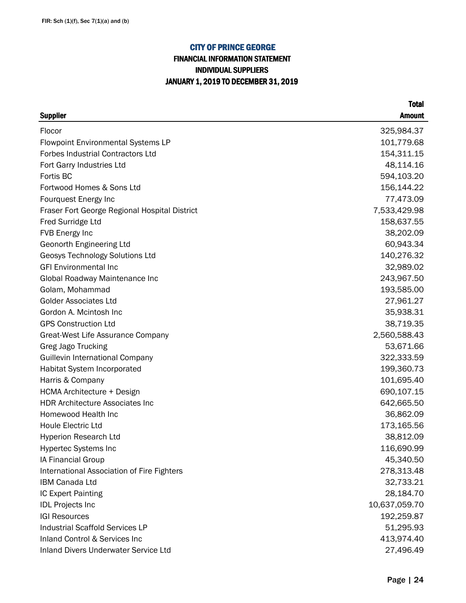# FINANCIAL INFORMATION STATEMENT INDIVIDUAL SUPPLIERS JANUARY 1, 2019 TO DECEMBER 31, 2019

| <b>Supplier</b>                               | <b>Amount</b> |
|-----------------------------------------------|---------------|
| Flocor                                        | 325,984.37    |
| <b>Flowpoint Environmental Systems LP</b>     | 101,779.68    |
| <b>Forbes Industrial Contractors Ltd</b>      | 154,311.15    |
| Fort Garry Industries Ltd                     | 48,114.16     |
| Fortis BC                                     | 594,103.20    |
| Fortwood Homes & Sons Ltd                     | 156,144.22    |
| Fourquest Energy Inc                          | 77,473.09     |
| Fraser Fort George Regional Hospital District | 7,533,429.98  |
| <b>Fred Surridge Ltd</b>                      | 158,637.55    |
| FVB Energy Inc                                | 38,202.09     |
| Geonorth Engineering Ltd                      | 60,943.34     |
| Geosys Technology Solutions Ltd               | 140,276.32    |
| <b>GFI Environmental Inc</b>                  | 32,989.02     |
| Global Roadway Maintenance Inc                | 243,967.50    |
| Golam, Mohammad                               | 193,585.00    |
| <b>Golder Associates Ltd</b>                  | 27,961.27     |
| Gordon A. Mcintosh Inc                        | 35,938.31     |
| <b>GPS Construction Ltd</b>                   | 38,719.35     |
| Great-West Life Assurance Company             | 2,560,588.43  |
| Greg Jago Trucking                            | 53,671.66     |
| <b>Guillevin International Company</b>        | 322,333.59    |
| Habitat System Incorporated                   | 199,360.73    |
| Harris & Company                              | 101,695.40    |
| HCMA Architecture + Design                    | 690,107.15    |
| <b>HDR Architecture Associates Inc</b>        | 642,665.50    |
| Homewood Health Inc                           | 36,862.09     |
| <b>Houle Electric Ltd</b>                     | 173,165.56    |
| Hyperion Research Ltd                         | 38,812.09     |
| <b>Hypertec Systems Inc</b>                   | 116,690.99    |
| IA Financial Group                            | 45,340.50     |
| International Association of Fire Fighters    | 278,313.48    |
| IBM Canada Ltd                                | 32,733.21     |
| IC Expert Painting                            | 28,184.70     |
| <b>IDL Projects Inc</b>                       | 10,637,059.70 |
| <b>IGI Resources</b>                          | 192,259.87    |
| <b>Industrial Scaffold Services LP</b>        | 51,295.93     |
| Inland Control & Services Inc                 | 413,974.40    |
| Inland Divers Underwater Service Ltd          | 27,496.49     |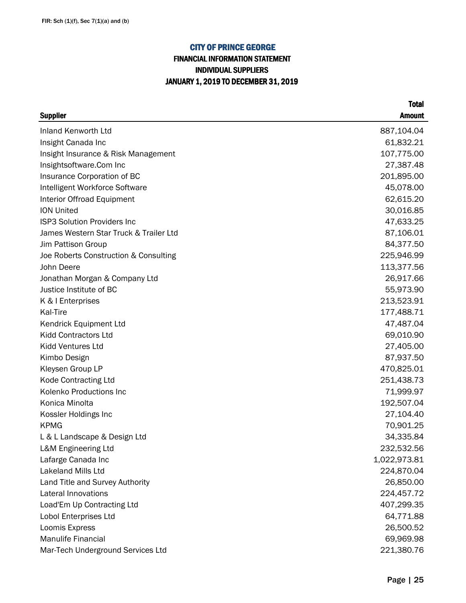## FINANCIAL INFORMATION STATEMENT INDIVIDUAL SUPPLIERS JANUARY 1, 2019 TO DECEMBER 31, 2019

| <b>Supplier</b>                        | <b>Amount</b> |
|----------------------------------------|---------------|
| Inland Kenworth Ltd                    | 887,104.04    |
| Insight Canada Inc                     | 61,832.21     |
| Insight Insurance & Risk Management    | 107,775.00    |
| Insightsoftware.Com Inc                | 27,387.48     |
| Insurance Corporation of BC            | 201,895.00    |
| Intelligent Workforce Software         | 45,078.00     |
| Interior Offroad Equipment             | 62,615.20     |
| <b>ION United</b>                      | 30,016.85     |
| <b>ISP3 Solution Providers Inc</b>     | 47,633.25     |
| James Western Star Truck & Trailer Ltd | 87,106.01     |
| Jim Pattison Group                     | 84,377.50     |
| Joe Roberts Construction & Consulting  | 225,946.99    |
| John Deere                             | 113,377.56    |
| Jonathan Morgan & Company Ltd          | 26,917.66     |
| Justice Institute of BC                | 55,973.90     |
| K & I Enterprises                      | 213,523.91    |
| Kal-Tire                               | 177,488.71    |
| Kendrick Equipment Ltd                 | 47,487.04     |
| <b>Kidd Contractors Ltd</b>            | 69,010.90     |
| Kidd Ventures Ltd                      | 27,405.00     |
| Kimbo Design                           | 87,937.50     |
| Kleysen Group LP                       | 470,825.01    |
| <b>Kode Contracting Ltd</b>            | 251,438.73    |
| Kolenko Productions Inc                | 71,999.97     |
| Konica Minolta                         | 192,507.04    |
| Kossler Holdings Inc                   | 27,104.40     |
| <b>KPMG</b>                            | 70,901.25     |
| L & L Landscape & Design Ltd           | 34,335.84     |
| L&M Engineering Ltd                    | 232,532.56    |
| Lafarge Canada Inc                     | 1,022,973.81  |
| <b>Lakeland Mills Ltd</b>              | 224,870.04    |
| Land Title and Survey Authority        | 26,850.00     |
| Lateral Innovations                    | 224,457.72    |
| Load'Em Up Contracting Ltd             | 407,299.35    |
| Lobol Enterprises Ltd                  | 64,771.88     |
| Loomis Express                         | 26,500.52     |
| <b>Manulife Financial</b>              | 69,969.98     |
| Mar-Tech Underground Services Ltd      | 221,380.76    |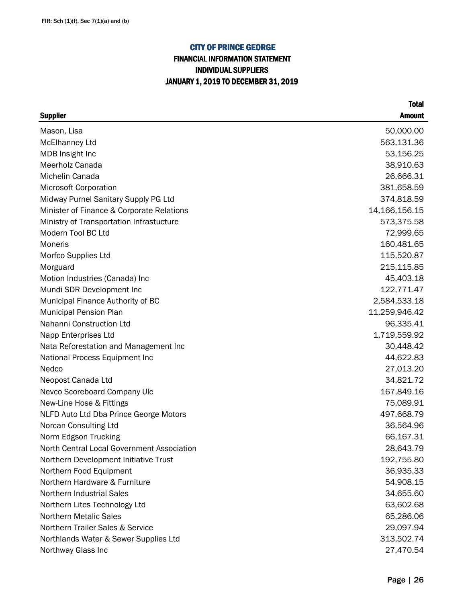# FINANCIAL INFORMATION STATEMENT INDIVIDUAL SUPPLIERS JANUARY 1, 2019 TO DECEMBER 31, 2019

| <b>Supplier</b>                            | <b>Amount</b> |
|--------------------------------------------|---------------|
| Mason, Lisa                                | 50,000.00     |
| <b>McElhanney Ltd</b>                      | 563,131.36    |
| MDB Insight Inc                            | 53,156.25     |
| <b>Meerholz Canada</b>                     | 38,910.63     |
| Michelin Canada                            | 26,666.31     |
| <b>Microsoft Corporation</b>               | 381,658.59    |
| Midway Purnel Sanitary Supply PG Ltd       | 374,818.59    |
| Minister of Finance & Corporate Relations  | 14,166,156.15 |
| Ministry of Transportation Infrastucture   | 573,375.58    |
| Modern Tool BC Ltd                         | 72,999.65     |
| <b>Moneris</b>                             | 160,481.65    |
| Morfco Supplies Ltd                        | 115,520.87    |
| Morguard                                   | 215,115.85    |
| Motion Industries (Canada) Inc             | 45,403.18     |
| Mundi SDR Development Inc                  | 122,771.47    |
| Municipal Finance Authority of BC          | 2,584,533.18  |
| <b>Municipal Pension Plan</b>              | 11,259,946.42 |
| Nahanni Construction Ltd                   | 96,335.41     |
| Napp Enterprises Ltd                       | 1,719,559.92  |
| Nata Reforestation and Management Inc      | 30,448.42     |
| National Process Equipment Inc             | 44,622.83     |
| Nedco                                      | 27,013.20     |
| Neopost Canada Ltd                         | 34,821.72     |
| Nevco Scoreboard Company Ulc               | 167,849.16    |
| New-Line Hose & Fittings                   | 75,089.91     |
| NLFD Auto Ltd Dba Prince George Motors     | 497,668.79    |
| Norcan Consulting Ltd                      | 36,564.96     |
| Norm Edgson Trucking                       | 66,167.31     |
| North Central Local Government Association | 28,643.79     |
| Northern Development Initiative Trust      | 192,755.80    |
| Northern Food Equipment                    | 36,935.33     |
| Northern Hardware & Furniture              | 54,908.15     |
| <b>Northern Industrial Sales</b>           | 34,655.60     |
| Northern Lites Technology Ltd              | 63,602.68     |
| <b>Northern Metalic Sales</b>              | 65,286.06     |
| Northern Trailer Sales & Service           | 29,097.94     |
| Northlands Water & Sewer Supplies Ltd      | 313,502.74    |
| Northway Glass Inc                         | 27,470.54     |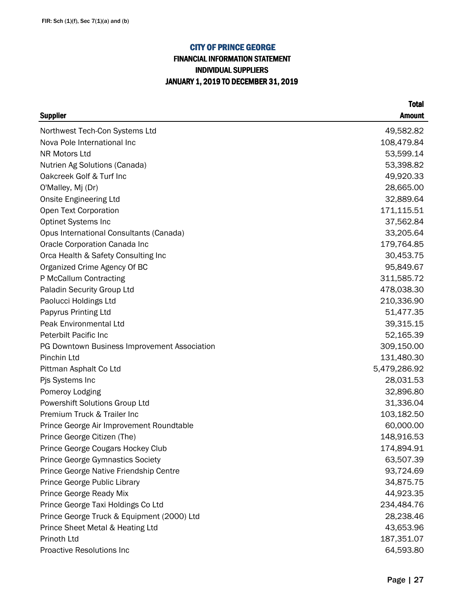## FINANCIAL INFORMATION STATEMENT INDIVIDUAL SUPPLIERS JANUARY 1, 2019 TO DECEMBER 31, 2019

| <b>Supplier</b>                              | <b>Amount</b> |
|----------------------------------------------|---------------|
| Northwest Tech-Con Systems Ltd               | 49,582.82     |
| Nova Pole International Inc                  | 108,479.84    |
| NR Motors Ltd                                | 53,599.14     |
| Nutrien Ag Solutions (Canada)                | 53,398.82     |
| Oakcreek Golf & Turf Inc                     | 49,920.33     |
| O'Malley, Mj (Dr)                            | 28,665.00     |
| <b>Onsite Engineering Ltd</b>                | 32,889.64     |
| Open Text Corporation                        | 171,115.51    |
| <b>Optinet Systems Inc</b>                   | 37,562.84     |
| Opus International Consultants (Canada)      | 33,205.64     |
| Oracle Corporation Canada Inc                | 179,764.85    |
| Orca Health & Safety Consulting Inc          | 30,453.75     |
| Organized Crime Agency Of BC                 | 95,849.67     |
| P McCallum Contracting                       | 311,585.72    |
| Paladin Security Group Ltd                   | 478,038.30    |
| Paolucci Holdings Ltd                        | 210,336.90    |
| Papyrus Printing Ltd                         | 51,477.35     |
| Peak Environmental Ltd                       | 39,315.15     |
| Peterbilt Pacific Inc                        | 52,165.39     |
| PG Downtown Business Improvement Association | 309,150.00    |
| Pinchin Ltd                                  | 131,480.30    |
| Pittman Asphalt Co Ltd                       | 5,479,286.92  |
| Pjs Systems Inc                              | 28,031.53     |
| Pomeroy Lodging                              | 32,896.80     |
| Powershift Solutions Group Ltd               | 31,336.04     |
| Premium Truck & Trailer Inc                  | 103,182.50    |
| Prince George Air Improvement Roundtable     | 60,000.00     |
| Prince George Citizen (The)                  | 148,916.53    |
| Prince George Cougars Hockey Club            | 174,894.91    |
| <b>Prince George Gymnastics Society</b>      | 63,507.39     |
| Prince George Native Friendship Centre       | 93,724.69     |
| Prince George Public Library                 | 34,875.75     |
| Prince George Ready Mix                      | 44,923.35     |
| Prince George Taxi Holdings Co Ltd           | 234,484.76    |
| Prince George Truck & Equipment (2000) Ltd   | 28,238.46     |
| Prince Sheet Metal & Heating Ltd             | 43,653.96     |
| Prinoth Ltd                                  | 187,351.07    |
| Proactive Resolutions Inc                    | 64,593.80     |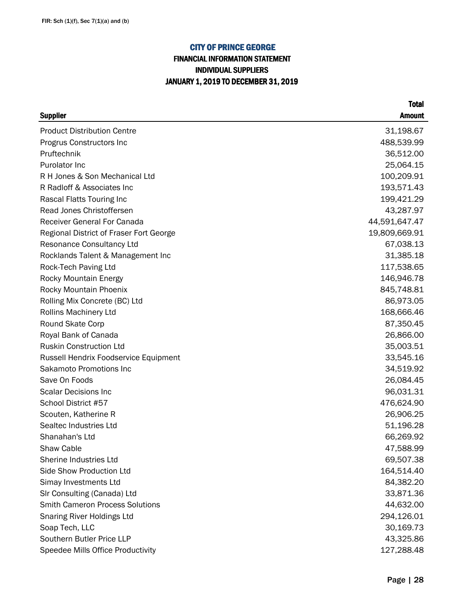## FINANCIAL INFORMATION STATEMENT INDIVIDUAL SUPPLIERS JANUARY 1, 2019 TO DECEMBER 31, 2019

| <b>Supplier</b>                         | <b>Amount</b> |
|-----------------------------------------|---------------|
| <b>Product Distribution Centre</b>      | 31,198.67     |
| Progrus Constructors Inc                | 488,539.99    |
| Pruftechnik                             | 36,512.00     |
| Purolator Inc                           | 25,064.15     |
| R H Jones & Son Mechanical Ltd          | 100,209.91    |
| R Radloff & Associates Inc              | 193,571.43    |
| Rascal Flatts Touring Inc               | 199,421.29    |
| Read Jones Christoffersen               | 43,287.97     |
| <b>Receiver General For Canada</b>      | 44,591,647.47 |
| Regional District of Fraser Fort George | 19,809,669.91 |
| <b>Resonance Consultancy Ltd</b>        | 67,038.13     |
| Rocklands Talent & Management Inc       | 31,385.18     |
| Rock-Tech Paving Ltd                    | 117,538.65    |
| <b>Rocky Mountain Energy</b>            | 146,946.78    |
| Rocky Mountain Phoenix                  | 845,748.81    |
| Rolling Mix Concrete (BC) Ltd           | 86,973.05     |
| Rollins Machinery Ltd                   | 168,666.46    |
| Round Skate Corp                        | 87,350.45     |
| Royal Bank of Canada                    | 26,866.00     |
| <b>Ruskin Construction Ltd</b>          | 35,003.51     |
| Russell Hendrix Foodservice Equipment   | 33,545.16     |
| Sakamoto Promotions Inc                 | 34,519.92     |
| Save On Foods                           | 26,084.45     |
| <b>Scalar Decisions Inc</b>             | 96,031.31     |
| School District #57                     | 476,624.90    |
| Scouten, Katherine R                    | 26,906.25     |
| Sealtec Industries Ltd                  | 51,196.28     |
| Shanahan's Ltd                          | 66,269.92     |
| Shaw Cable                              | 47,588.99     |
| Sherine Industries Ltd                  | 69,507.38     |
| Side Show Production Ltd                | 164,514.40    |
| Simay Investments Ltd                   | 84,382.20     |
| SIr Consulting (Canada) Ltd             | 33,871.36     |
| <b>Smith Cameron Process Solutions</b>  | 44,632.00     |
| Snaring River Holdings Ltd              | 294,126.01    |
| Soap Tech, LLC                          | 30,169.73     |
| Southern Butler Price LLP               | 43,325.86     |
| Speedee Mills Office Productivity       | 127,288.48    |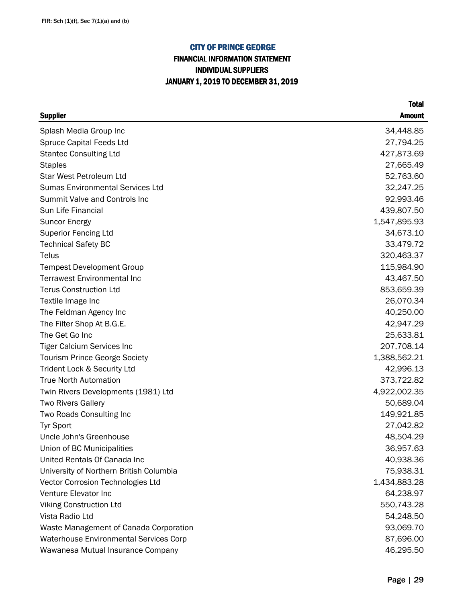## FINANCIAL INFORMATION STATEMENT INDIVIDUAL SUPPLIERS JANUARY 1, 2019 TO DECEMBER 31, 2019

| <b>Supplier</b>                               | <b>Amount</b> |
|-----------------------------------------------|---------------|
| Splash Media Group Inc                        | 34,448.85     |
| <b>Spruce Capital Feeds Ltd</b>               | 27,794.25     |
| <b>Stantec Consulting Ltd</b>                 | 427,873.69    |
| <b>Staples</b>                                | 27,665.49     |
| <b>Star West Petroleum Ltd</b>                | 52,763.60     |
| <b>Sumas Environmental Services Ltd</b>       | 32,247.25     |
| Summit Valve and Controls Inc                 | 92,993.46     |
| Sun Life Financial                            | 439,807.50    |
| <b>Suncor Energy</b>                          | 1,547,895.93  |
| <b>Superior Fencing Ltd</b>                   | 34,673.10     |
| <b>Technical Safety BC</b>                    | 33,479.72     |
| Telus                                         | 320,463.37    |
| <b>Tempest Development Group</b>              | 115,984.90    |
| <b>Terrawest Environmental Inc</b>            | 43,467.50     |
| <b>Terus Construction Ltd</b>                 | 853,659.39    |
| Textile Image Inc                             | 26,070.34     |
| The Feldman Agency Inc                        | 40,250.00     |
| The Filter Shop At B.G.E.                     | 42,947.29     |
| The Get Go Inc                                | 25,633.81     |
| <b>Tiger Calcium Services Inc</b>             | 207,708.14    |
| <b>Tourism Prince George Society</b>          | 1,388,562.21  |
| Trident Lock & Security Ltd                   | 42,996.13     |
| <b>True North Automation</b>                  | 373,722.82    |
| Twin Rivers Developments (1981) Ltd           | 4,922,002.35  |
| <b>Two Rivers Gallery</b>                     | 50,689.04     |
| Two Roads Consulting Inc                      | 149,921.85    |
| <b>Tyr Sport</b>                              | 27,042.82     |
| Uncle John's Greenhouse                       | 48,504.29     |
| Union of BC Municipalities                    | 36,957.63     |
| United Rentals Of Canada Inc                  | 40,938.36     |
| University of Northern British Columbia       | 75,938.31     |
| Vector Corrosion Technologies Ltd             | 1,434,883.28  |
| Venture Elevator Inc                          | 64,238.97     |
| <b>Viking Construction Ltd</b>                | 550,743.28    |
| Vista Radio Ltd                               | 54,248.50     |
| Waste Management of Canada Corporation        | 93,069.70     |
| <b>Waterhouse Environmental Services Corp</b> | 87,696.00     |
| Wawanesa Mutual Insurance Company             | 46,295.50     |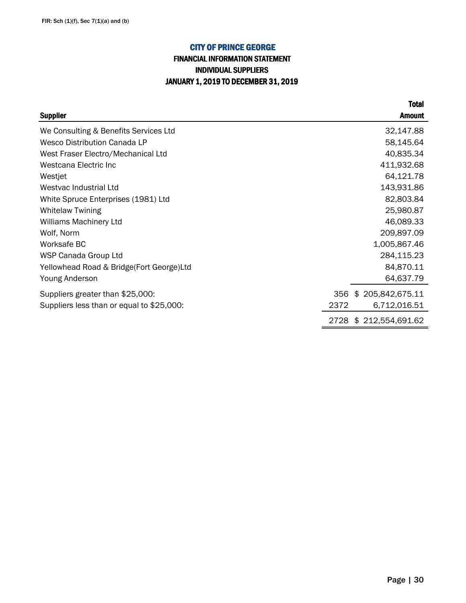## FINANCIAL INFORMATION STATEMENT INDIVIDUAL SUPPLIERS JANUARY 1, 2019 TO DECEMBER 31, 2019

|                                           | <b>Total</b>            |
|-------------------------------------------|-------------------------|
| <b>Supplier</b>                           | <b>Amount</b>           |
| We Consulting & Benefits Services Ltd     | 32,147.88               |
| Wesco Distribution Canada LP              | 58,145.64               |
| West Fraser Electro/Mechanical Ltd        | 40,835.34               |
| Westcana Electric Inc                     | 411,932.68              |
| Westjet                                   | 64,121.78               |
| Westvac Industrial Ltd                    | 143,931.86              |
| White Spruce Enterprises (1981) Ltd       | 82,803.84               |
| <b>Whitelaw Twining</b>                   | 25,980.87               |
| Williams Machinery Ltd                    | 46,089.33               |
| Wolf, Norm                                | 209,897.09              |
| Worksafe BC                               | 1,005,867.46            |
| WSP Canada Group Ltd                      | 284,115.23              |
| Yellowhead Road & Bridge(Fort George)Ltd  | 84,870.11               |
| Young Anderson                            | 64,637.79               |
| Suppliers greater than \$25,000:          | \$205,842,675.11<br>356 |
| Suppliers less than or equal to \$25,000: | 2372<br>6,712,016.51    |
|                                           | 2728 \$212,554,691.62   |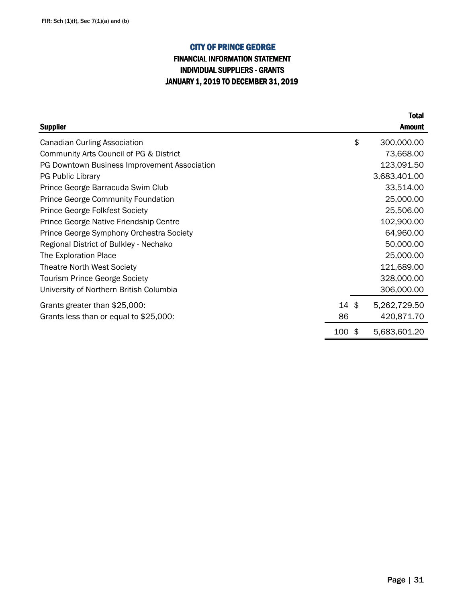## INDIVIDUAL SUPPLIERS - GRANTS JANUARY 1, 2019 TO DECEMBER 31, 2019 FINANCIAL INFORMATION STATEMENT

|                                              |      | <b>Total</b>       |
|----------------------------------------------|------|--------------------|
| <b>Supplier</b>                              |      | <b>Amount</b>      |
| <b>Canadian Curling Association</b>          |      | \$<br>300,000.00   |
| Community Arts Council of PG & District      |      | 73,668.00          |
| PG Downtown Business Improvement Association |      | 123,091.50         |
| <b>PG Public Library</b>                     |      | 3,683,401.00       |
| Prince George Barracuda Swim Club            |      | 33,514.00          |
| <b>Prince George Community Foundation</b>    |      | 25,000.00          |
| <b>Prince George Folkfest Society</b>        |      | 25,506.00          |
| Prince George Native Friendship Centre       |      | 102,900.00         |
| Prince George Symphony Orchestra Society     |      | 64,960.00          |
| Regional District of Bulkley - Nechako       |      | 50,000.00          |
| The Exploration Place                        |      | 25,000.00          |
| <b>Theatre North West Society</b>            |      | 121,689.00         |
| <b>Tourism Prince George Society</b>         |      | 328,000.00         |
| University of Northern British Columbia      |      | 306,000.00         |
| Grants greater than \$25,000:                | 14\$ | 5,262,729.50       |
| Grants less than or equal to \$25,000:       | 86   | 420,871.70         |
|                                              | 100  | \$<br>5,683,601.20 |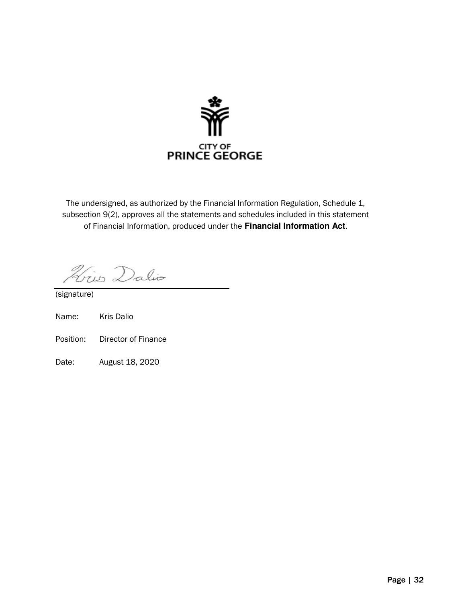

The undersigned, as authorized by the Financial Information Regulation, Schedule 1, subsection 9(2), approves all the statements and schedules included in this statement of Financial Information, produced under the **Financial Information Act**.

Hris Dalio

(signature)

- Name: Kris Dalio
- Position: Director of Finance
- Date: August 18, 2020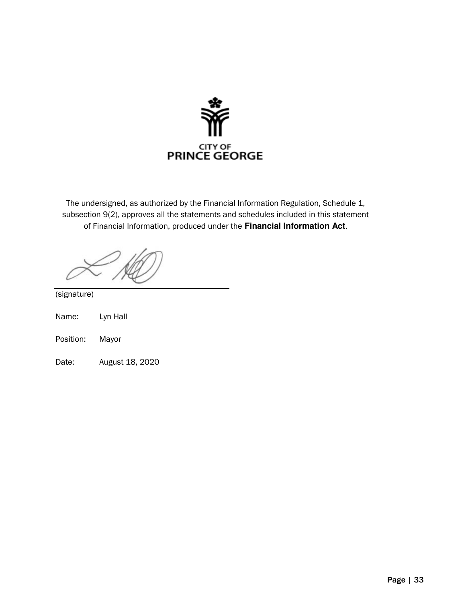

The undersigned, as authorized by the Financial Information Regulation, Schedule 1, subsection 9(2), approves all the statements and schedules included in this statement of Financial Information, produced under the **Financial Information Act**.

(signature)

| Lyn Hall<br>Name: |
|-------------------|
|-------------------|

Position: Mayor

Date: August 18, 2020